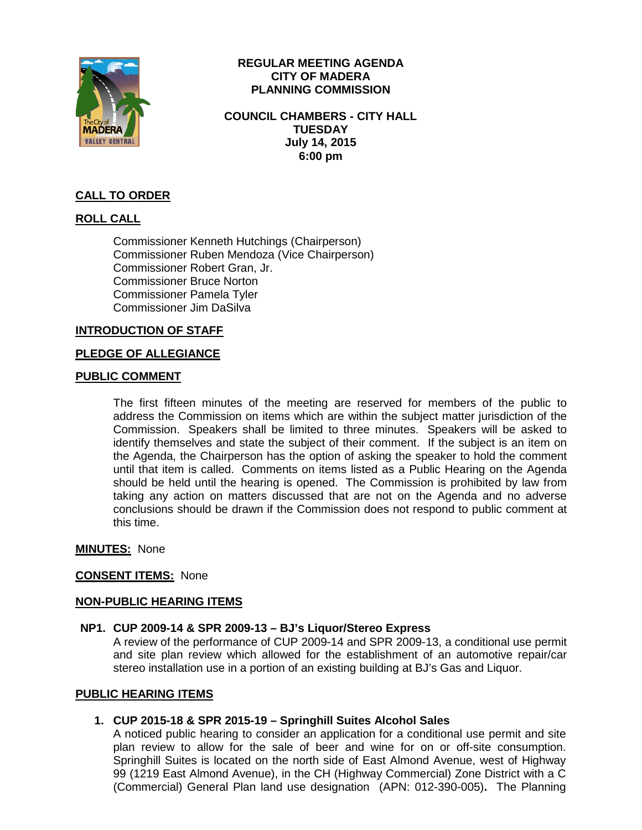<span id="page-0-0"></span>

#### **REGULAR MEETING AGENDA CITY OF MADERA PLANNING COMMISSION**

**COUNCIL CHAMBERS - CITY HALL TUESDAY July 14, 2015 6:00 pm**

### **CALL TO ORDER**

#### **ROLL CALL**

Commissioner Kenneth Hutchings (Chairperson) Commissioner Ruben Mendoza (Vice Chairperson) Commissioner Robert Gran, Jr. Commissioner Bruce Norton Commissioner Pamela Tyler Commissioner Jim DaSilva

#### **INTRODUCTION OF STAFF**

#### **PLEDGE OF ALLEGIANCE**

#### **PUBLIC COMMENT**

The first fifteen minutes of the meeting are reserved for members of the public to address the Commission on items which are within the subject matter jurisdiction of the Commission. Speakers shall be limited to three minutes. Speakers will be asked to identify themselves and state the subject of their comment. If the subject is an item on the Agenda, the Chairperson has the option of asking the speaker to hold the comment until that item is called. Comments on items listed as a Public Hearing on the Agenda should be held until the hearing is opened. The Commission is prohibited by law from taking any action on matters discussed that are not on the Agenda and no adverse conclusions should be drawn if the Commission does not respond to public comment at this time.

#### **MINUTES:** None

#### **CONSENT ITEMS:** None

#### **NON-PUBLIC HEARING ITEMS**

#### **NP1. [CUP 2009-14 & SPR 2009-13 –](#page-2-0) BJ's Liquor/Stereo Express**

A review of the performance of CUP 2009-14 and SPR 2009-13, a conditional use permit and site plan review which allowed for the establishment of an automotive repair/car stereo installation use in a portion of an existing building at BJ's Gas and Liquor.

#### **PUBLIC HEARING ITEMS**

#### **1. CUP 2015-18 & SPR 2015-19 – [Springhill Suites Alcohol Sales](#page-15-0)**

A noticed public hearing to consider an application for a conditional use permit and site plan review to allow for the sale of beer and wine for on or off-site consumption. Springhill Suites is located on the north side of East Almond Avenue, west of Highway 99 (1219 East Almond Avenue), in the CH (Highway Commercial) Zone District with a C (Commercial) General Plan land use designation (APN: 012-390-005)**.** The Planning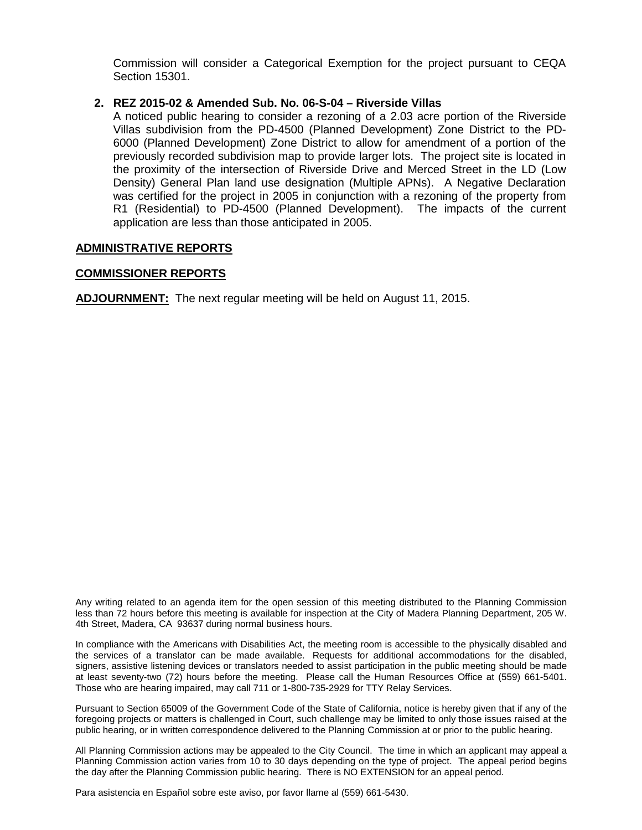<span id="page-1-0"></span>Commission will consider a Categorical Exemption for the project pursuant to CEQA Section 15301.

#### **2. [REZ 2015-02 & Amended Sub. No. 06-S-04 –](#page-21-0) Riverside Villas**

A noticed public hearing to consider a rezoning of a 2.03 acre portion of the Riverside Villas subdivision from the PD-4500 (Planned Development) Zone District to the PD-6000 (Planned Development) Zone District to allow for amendment of a portion of the previously recorded subdivision map to provide larger lots. The project site is located in the proximity of the intersection of Riverside Drive and Merced Street in the LD (Low Density) General Plan land use designation (Multiple APNs). A Negative Declaration was certified for the project in 2005 in conjunction with a rezoning of the property from R1 (Residential) to PD-4500 (Planned Development). The impacts of the current application are less than those anticipated in 2005.

#### **ADMINISTRATIVE REPORTS**

#### **COMMISSIONER REPORTS**

**ADJOURNMENT:** The next regular meeting will be held on August 11, 2015.

Any writing related to an agenda item for the open session of this meeting distributed to the Planning Commission less than 72 hours before this meeting is available for inspection at the City of Madera Planning Department, 205 W. 4th Street, Madera, CA 93637 during normal business hours.

In compliance with the Americans with Disabilities Act, the meeting room is accessible to the physically disabled and the services of a translator can be made available. Requests for additional accommodations for the disabled, signers, assistive listening devices or translators needed to assist participation in the public meeting should be made at least seventy-two (72) hours before the meeting. Please call the Human Resources Office at (559) 661-5401. Those who are hearing impaired, may call 711 or 1-800-735-2929 for TTY Relay Services.

Pursuant to Section 65009 of the Government Code of the State of California, notice is hereby given that if any of the foregoing projects or matters is challenged in Court, such challenge may be limited to only those issues raised at the public hearing, or in written correspondence delivered to the Planning Commission at or prior to the public hearing.

All Planning Commission actions may be appealed to the City Council. The time in which an applicant may appeal a Planning Commission action varies from 10 to 30 days depending on the type of project. The appeal period begins the day after the Planning Commission public hearing. There is NO EXTENSION for an appeal period.

Para asistencia en Español sobre este aviso, por favor llame al (559) 661-5430.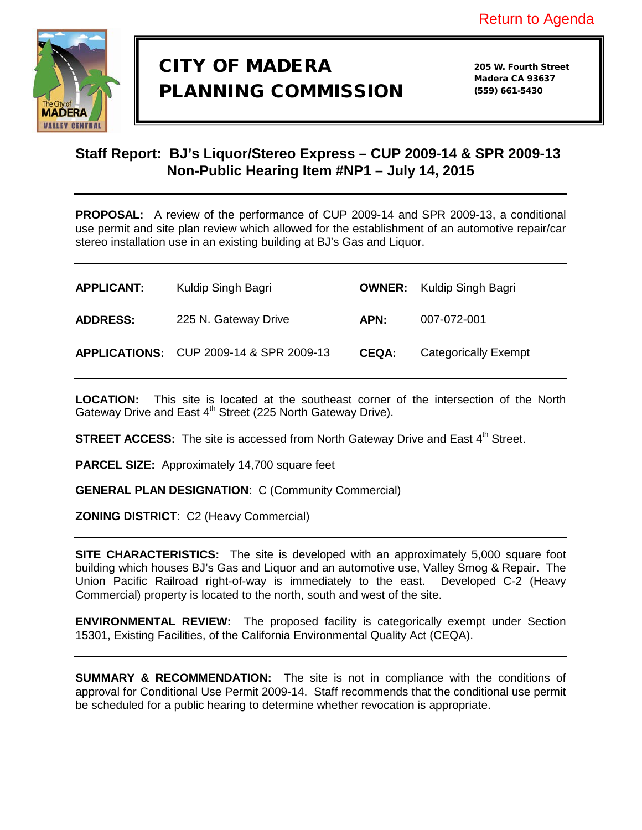<span id="page-2-0"></span>

# CITY OF MADERA PLANNING COMMISSION

205 W. Fourth Street Madera CA 93637 (559) 661-5430

### **Staff Report: BJ's Liquor/Stereo Express – CUP 2009-14 & SPR 2009-13 Non-Public Hearing Item #NP1 – July 14, 2015**

**PROPOSAL:** A review of the performance of CUP 2009-14 and SPR 2009-13, a conditional use permit and site plan review which allowed for the establishment of an automotive repair/car stereo installation use in an existing building at BJ's Gas and Liquor.

| <b>APPLICANT:</b> | Kuldip Singh Bagri                             |              | <b>OWNER:</b> Kuldip Singh Bagri |
|-------------------|------------------------------------------------|--------------|----------------------------------|
| <b>ADDRESS:</b>   | 225 N. Gateway Drive                           | APN:         | 007-072-001                      |
|                   | <b>APPLICATIONS:</b> CUP 2009-14 & SPR 2009-13 | <b>CEQA:</b> | <b>Categorically Exempt</b>      |

**LOCATION:** This site is located at the southeast corner of the intersection of the North Gateway Drive and East  $4<sup>th</sup>$  Street (225 North Gateway Drive).

**STREET ACCESS:** The site is accessed from North Gateway Drive and East 4<sup>th</sup> Street.

**PARCEL SIZE:** Approximately 14,700 square feet

**GENERAL PLAN DESIGNATION**: C (Community Commercial)

**ZONING DISTRICT**: C2 (Heavy Commercial)

**SITE CHARACTERISTICS:** The site is developed with an approximately 5,000 square foot building which houses BJ's Gas and Liquor and an automotive use, Valley Smog & Repair. The Union Pacific Railroad right-of-way is immediately to the east. Developed C-2 (Heavy Commercial) property is located to the north, south and west of the site.

**ENVIRONMENTAL REVIEW:** The proposed facility is categorically exempt under Section 15301, Existing Facilities, of the California Environmental Quality Act (CEQA).

**SUMMARY & RECOMMENDATION:** The site is not in compliance with the conditions of approval for Conditional Use Permit 2009-14. Staff recommends that the conditional use permit be scheduled for a public hearing to determine whether revocation is appropriate.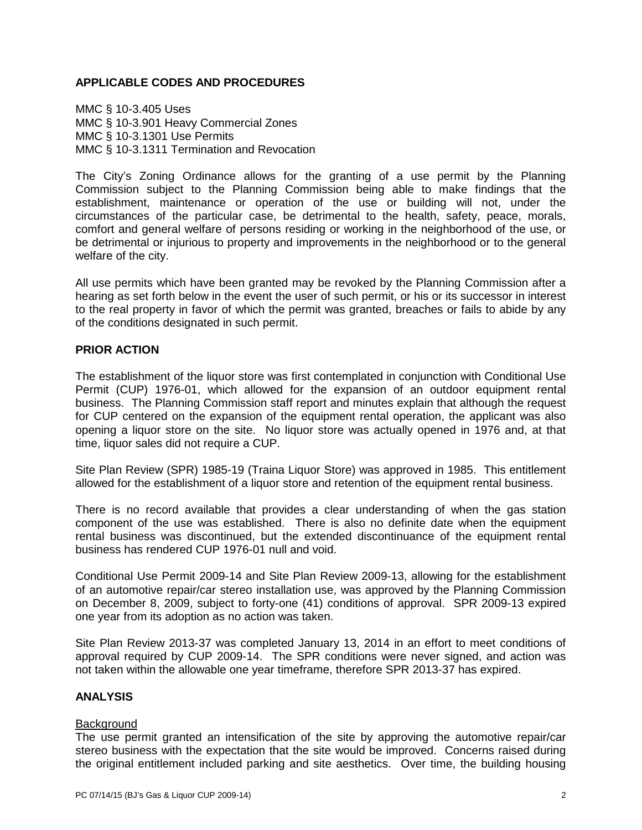#### **APPLICABLE CODES AND PROCEDURES**

MMC § 10-3.405 Uses MMC § 10-3.901 Heavy Commercial Zones MMC § 10-3.1301 Use Permits MMC § 10-3.1311 Termination and Revocation

The City's Zoning Ordinance allows for the granting of a use permit by the Planning Commission subject to the Planning Commission being able to make findings that the establishment, maintenance or operation of the use or building will not, under the circumstances of the particular case, be detrimental to the health, safety, peace, morals, comfort and general welfare of persons residing or working in the neighborhood of the use, or be detrimental or injurious to property and improvements in the neighborhood or to the general welfare of the city.

All use permits which have been granted may be revoked by the Planning Commission after a hearing as set forth below in the event the user of such permit, or his or its successor in interest to the real property in favor of which the permit was granted, breaches or fails to abide by any of the conditions designated in such permit.

#### **PRIOR ACTION**

The establishment of the liquor store was first contemplated in conjunction with Conditional Use Permit (CUP) 1976-01, which allowed for the expansion of an outdoor equipment rental business. The Planning Commission staff report and minutes explain that although the request for CUP centered on the expansion of the equipment rental operation, the applicant was also opening a liquor store on the site. No liquor store was actually opened in 1976 and, at that time, liquor sales did not require a CUP.

Site Plan Review (SPR) 1985-19 (Traina Liquor Store) was approved in 1985. This entitlement allowed for the establishment of a liquor store and retention of the equipment rental business.

There is no record available that provides a clear understanding of when the gas station component of the use was established. There is also no definite date when the equipment rental business was discontinued, but the extended discontinuance of the equipment rental business has rendered CUP 1976-01 null and void.

Conditional Use Permit 2009-14 and Site Plan Review 2009-13, allowing for the establishment of an automotive repair/car stereo installation use, was approved by the Planning Commission on December 8, 2009, subject to forty-one (41) conditions of approval. SPR 2009-13 expired one year from its adoption as no action was taken.

Site Plan Review 2013-37 was completed January 13, 2014 in an effort to meet conditions of approval required by CUP 2009-14. The SPR conditions were never signed, and action was not taken within the allowable one year timeframe, therefore SPR 2013-37 has expired.

#### **ANALYSIS**

#### **Background**

The use permit granted an intensification of the site by approving the automotive repair/car stereo business with the expectation that the site would be improved. Concerns raised during the original entitlement included parking and site aesthetics. Over time, the building housing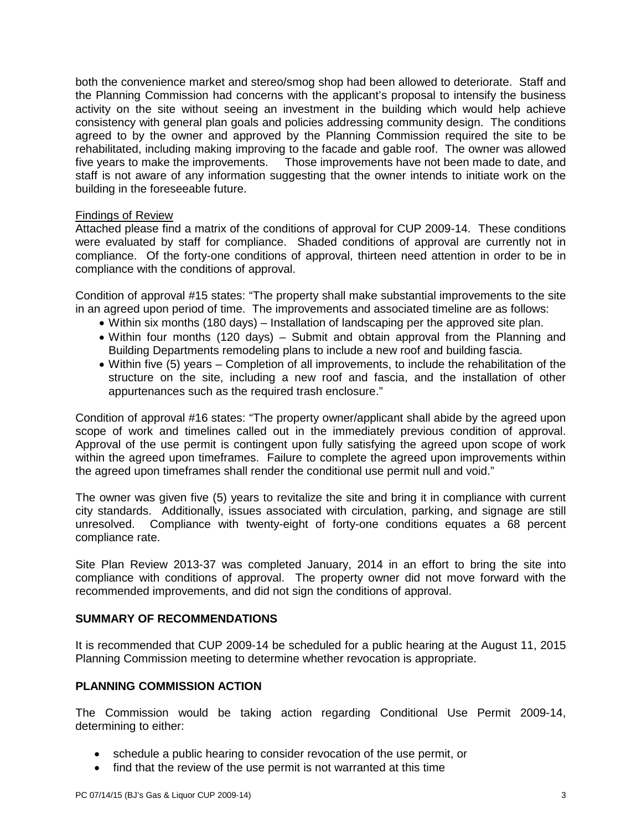both the convenience market and stereo/smog shop had been allowed to deteriorate. Staff and the Planning Commission had concerns with the applicant's proposal to intensify the business activity on the site without seeing an investment in the building which would help achieve consistency with general plan goals and policies addressing community design. The conditions agreed to by the owner and approved by the Planning Commission required the site to be rehabilitated, including making improving to the facade and gable roof. The owner was allowed<br>five years to make the improvements. Those improvements have not been made to date, and Those improvements have not been made to date, and staff is not aware of any information suggesting that the owner intends to initiate work on the building in the foreseeable future.

#### Findings of Review

Attached please find a matrix of the conditions of approval for CUP 2009-14. These conditions were evaluated by staff for compliance. Shaded conditions of approval are currently not in compliance. Of the forty-one conditions of approval, thirteen need attention in order to be in compliance with the conditions of approval.

Condition of approval #15 states: "The property shall make substantial improvements to the site in an agreed upon period of time. The improvements and associated timeline are as follows:

- Within six months (180 days) Installation of landscaping per the approved site plan.
- Within four months (120 days) Submit and obtain approval from the Planning and Building Departments remodeling plans to include a new roof and building fascia.
- Within five (5) years Completion of all improvements, to include the rehabilitation of the structure on the site, including a new roof and fascia, and the installation of other appurtenances such as the required trash enclosure."

Condition of approval #16 states: "The property owner/applicant shall abide by the agreed upon scope of work and timelines called out in the immediately previous condition of approval. Approval of the use permit is contingent upon fully satisfying the agreed upon scope of work within the agreed upon timeframes. Failure to complete the agreed upon improvements within the agreed upon timeframes shall render the conditional use permit null and void."

The owner was given five (5) years to revitalize the site and bring it in compliance with current city standards. Additionally, issues associated with circulation, parking, and signage are still unresolved. Compliance with twenty-eight of forty-one conditions equates a 68 percent compliance rate.

Site Plan Review 2013-37 was completed January, 2014 in an effort to bring the site into compliance with conditions of approval. The property owner did not move forward with the recommended improvements, and did not sign the conditions of approval.

#### **SUMMARY OF RECOMMENDATIONS**

It is recommended that CUP 2009-14 be scheduled for a public hearing at the August 11, 2015 Planning Commission meeting to determine whether revocation is appropriate.

#### **PLANNING COMMISSION ACTION**

The Commission would be taking action regarding Conditional Use Permit 2009-14, determining to either:

- schedule a public hearing to consider revocation of the use permit, or
- find that the review of the use permit is not warranted at this time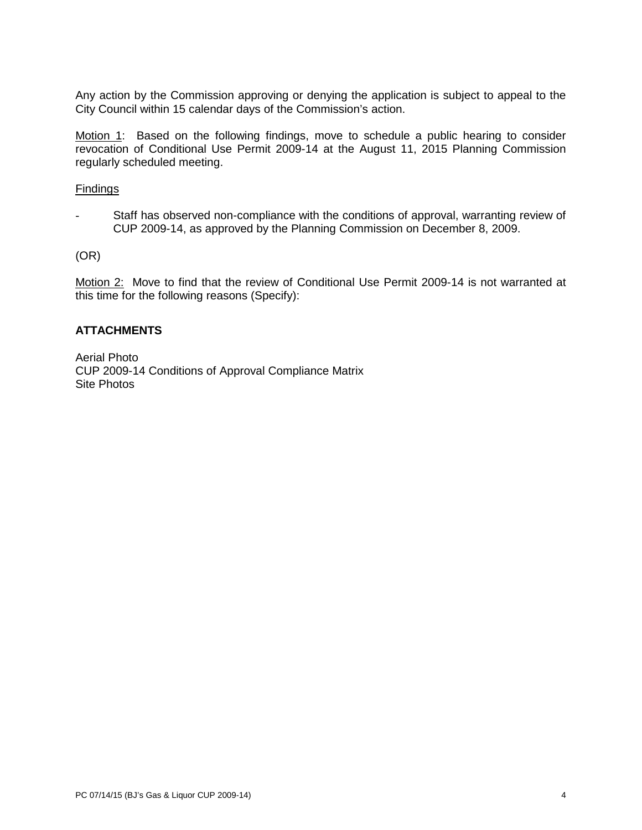Any action by the Commission approving or denying the application is subject to appeal to the City Council within 15 calendar days of the Commission's action.

Motion 1: Based on the following findings, move to schedule a public hearing to consider revocation of Conditional Use Permit 2009-14 at the August 11, 2015 Planning Commission regularly scheduled meeting.

#### **Findings**

Staff has observed non-compliance with the conditions of approval, warranting review of CUP 2009-14, as approved by the Planning Commission on December 8, 2009.

(OR)

Motion 2: Move to find that the review of Conditional Use Permit 2009-14 is not warranted at this time for the following reasons (Specify):

#### **ATTACHMENTS**

Aerial Photo CUP 2009-14 Conditions of Approval Compliance Matrix Site Photos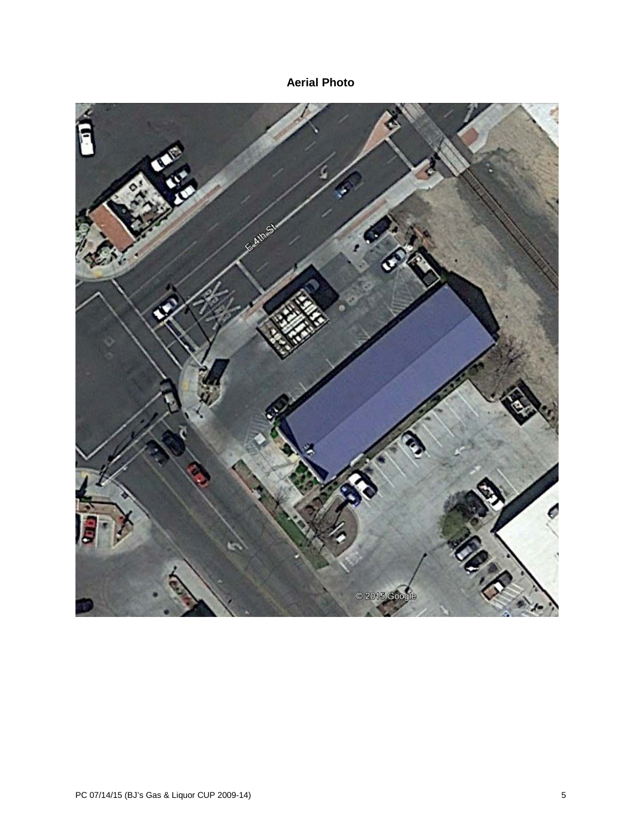### **Aerial Photo**

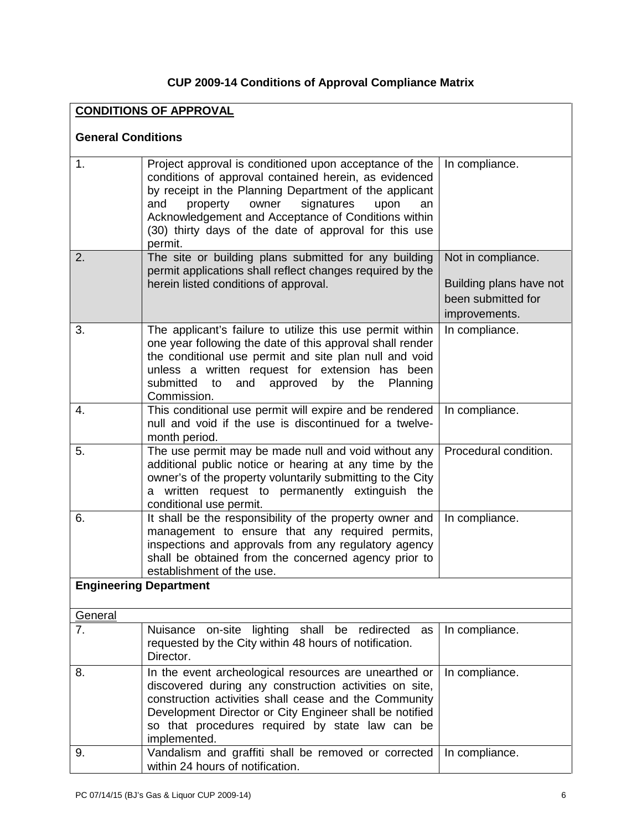#### **CUP 2009-14 Conditions of Approval Compliance Matrix**

#### **CONDITIONS OF APPROVAL General Conditions** 1. Project approval is conditioned upon acceptance of the conditions of approval contained herein, as evidenced by receipt in the Planning Department of the applicant and property owner signatures upon an Acknowledgement and Acceptance of Conditions within (30) thirty days of the date of approval for this use permit. In compliance. 2. The site or building plans submitted for any building permit applications shall reflect changes required by the herein listed conditions of approval. Not in compliance. Building plans have not been submitted for improvements. 3. The applicant's failure to utilize this use permit within one year following the date of this approval shall render the conditional use permit and site plan null and void unless a written request for extension has been submitted to and approved by the Planning Commission. In compliance. 4. This conditional use permit will expire and be rendered null and void if the use is discontinued for a twelvemonth period. In compliance. 5. **The use permit may be made null and void without any** additional public notice or hearing at any time by the owner's of the property voluntarily submitting to the City a written request to permanently extinguish the conditional use permit. Procedural condition. 6. It shall be the responsibility of the property owner and management to ensure that any required permits, inspections and approvals from any regulatory agency shall be obtained from the concerned agency prior to establishment of the use. In compliance. **Engineering Department General** 7. Nuisance on-site lighting shall be redirected as requested by the City within 48 hours of notification. Director. In compliance. 8. In the event archeological resources are unearthed or discovered during any construction activities on site, construction activities shall cease and the Community Development Director or City Engineer shall be notified so that procedures required by state law can be implemented. In compliance. 9. Vandalism and graffiti shall be removed or corrected In compliance.within 24 hours of notification.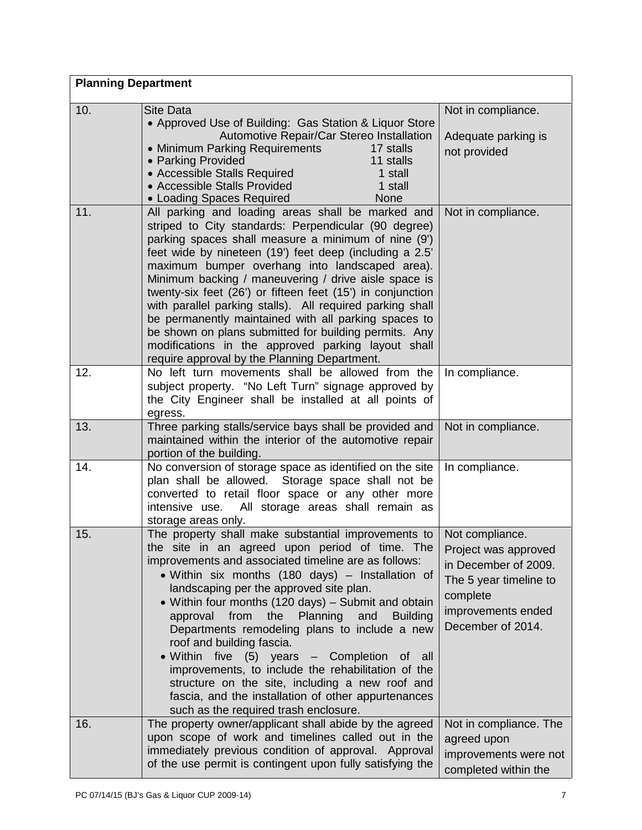| <b>Planning Department</b> |                                                                                                                                                                                                                                                                                                                                                                                                                                                                                                                                                                                                                                                                                                                                   |                                                                                                                                                  |  |
|----------------------------|-----------------------------------------------------------------------------------------------------------------------------------------------------------------------------------------------------------------------------------------------------------------------------------------------------------------------------------------------------------------------------------------------------------------------------------------------------------------------------------------------------------------------------------------------------------------------------------------------------------------------------------------------------------------------------------------------------------------------------------|--------------------------------------------------------------------------------------------------------------------------------------------------|--|
| 10.                        | Site Data<br>• Approved Use of Building: Gas Station & Liquor Store<br>Automotive Repair/Car Stereo Installation<br>• Minimum Parking Requirements<br>17 stalls<br>• Parking Provided<br>11 stalls<br>• Accessible Stalls Required<br>1 stall<br>• Accessible Stalls Provided<br>1 stall<br>None<br>• Loading Spaces Required                                                                                                                                                                                                                                                                                                                                                                                                     | Not in compliance.<br>Adequate parking is<br>not provided                                                                                        |  |
| 11.                        | All parking and loading areas shall be marked and<br>striped to City standards: Perpendicular (90 degree)<br>parking spaces shall measure a minimum of nine (9')<br>feet wide by nineteen (19') feet deep (including a 2.5'<br>maximum bumper overhang into landscaped area).<br>Minimum backing / maneuvering / drive aisle space is<br>twenty-six feet (26') or fifteen feet (15') in conjunction<br>with parallel parking stalls). All required parking shall<br>be permanently maintained with all parking spaces to<br>be shown on plans submitted for building permits. Any<br>modifications in the approved parking layout shall<br>require approval by the Planning Department.                                           | Not in compliance.                                                                                                                               |  |
| 12.                        | No left turn movements shall be allowed from the<br>subject property. "No Left Turn" signage approved by<br>the City Engineer shall be installed at all points of<br>egress.                                                                                                                                                                                                                                                                                                                                                                                                                                                                                                                                                      | In compliance.                                                                                                                                   |  |
| 13.                        | Three parking stalls/service bays shall be provided and<br>maintained within the interior of the automotive repair<br>portion of the building.                                                                                                                                                                                                                                                                                                                                                                                                                                                                                                                                                                                    | Not in compliance.                                                                                                                               |  |
| 14.                        | No conversion of storage space as identified on the site<br>plan shall be allowed. Storage space shall not be<br>converted to retail floor space or any other more<br>intensive use. All storage areas shall remain as<br>storage areas only.                                                                                                                                                                                                                                                                                                                                                                                                                                                                                     | In compliance.                                                                                                                                   |  |
| 15.                        | The property shall make substantial improvements to<br>the site in an agreed upon period of time. The<br>improvements and associated timeline are as follows:<br>· Within six months (180 days) - Installation of<br>landscaping per the approved site plan.<br>• Within four months (120 days) - Submit and obtain<br>approval from<br>the<br><b>Planning</b><br>and<br><b>Building</b><br>Departments remodeling plans to include a new<br>roof and building fascia.<br>· Within five (5) years - Completion of<br>all<br>improvements, to include the rehabilitation of the<br>structure on the site, including a new roof and<br>fascia, and the installation of other appurtenances<br>such as the required trash enclosure. | Not compliance.<br>Project was approved<br>in December of 2009.<br>The 5 year timeline to<br>complete<br>improvements ended<br>December of 2014. |  |
| 16.                        | The property owner/applicant shall abide by the agreed<br>upon scope of work and timelines called out in the<br>immediately previous condition of approval. Approval<br>of the use permit is contingent upon fully satisfying the                                                                                                                                                                                                                                                                                                                                                                                                                                                                                                 | Not in compliance. The<br>agreed upon<br>improvements were not<br>completed within the                                                           |  |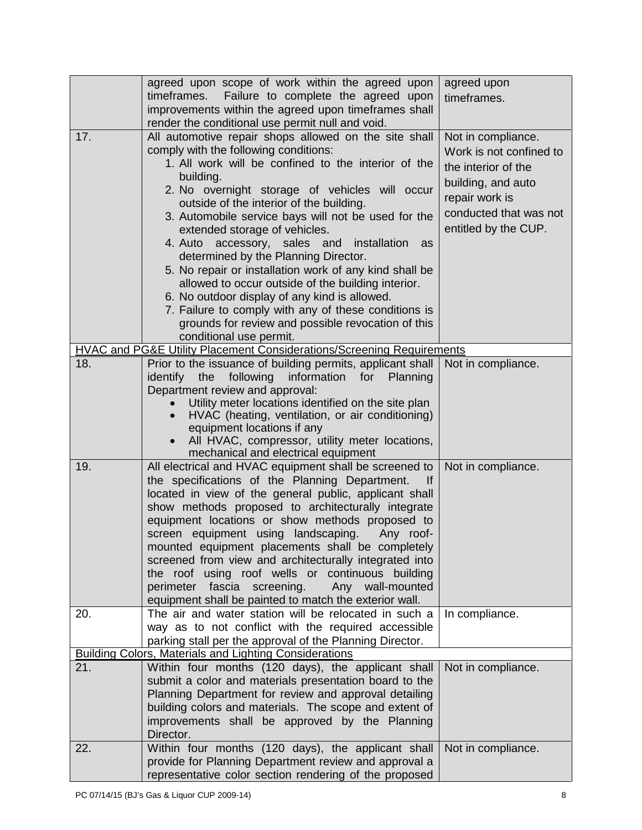|                                                               | agreed upon scope of work within the agreed upon<br>Failure to complete the agreed upon<br>timeframes.<br>improvements within the agreed upon timeframes shall<br>render the conditional use permit null and void.                                                                                                                                                                                                                                                                                                                                                                                                                                                                                                                                               | agreed upon<br>timeframes.                                                                                                                                     |  |
|---------------------------------------------------------------|------------------------------------------------------------------------------------------------------------------------------------------------------------------------------------------------------------------------------------------------------------------------------------------------------------------------------------------------------------------------------------------------------------------------------------------------------------------------------------------------------------------------------------------------------------------------------------------------------------------------------------------------------------------------------------------------------------------------------------------------------------------|----------------------------------------------------------------------------------------------------------------------------------------------------------------|--|
| 17.                                                           | All automotive repair shops allowed on the site shall<br>comply with the following conditions:<br>1. All work will be confined to the interior of the<br>building.<br>2. No overnight storage of vehicles will occur<br>outside of the interior of the building.<br>3. Automobile service bays will not be used for the<br>extended storage of vehicles.<br>4. Auto accessory, sales and<br>installation<br>as<br>determined by the Planning Director.<br>5. No repair or installation work of any kind shall be<br>allowed to occur outside of the building interior.<br>6. No outdoor display of any kind is allowed.<br>7. Failure to comply with any of these conditions is<br>grounds for review and possible revocation of this<br>conditional use permit. | Not in compliance.<br>Work is not confined to<br>the interior of the<br>building, and auto<br>repair work is<br>conducted that was not<br>entitled by the CUP. |  |
|                                                               | <b>HVAC and PG&amp;E Utility Placement Considerations/Screening Requirements</b>                                                                                                                                                                                                                                                                                                                                                                                                                                                                                                                                                                                                                                                                                 |                                                                                                                                                                |  |
| 18.                                                           | Prior to the issuance of building permits, applicant shall<br>identify<br>the<br>following<br>information<br>for<br>Planning<br>Department review and approval:<br>Utility meter locations identified on the site plan<br>HVAC (heating, ventilation, or air conditioning)<br>equipment locations if any<br>All HVAC, compressor, utility meter locations,<br>mechanical and electrical equipment                                                                                                                                                                                                                                                                                                                                                                | Not in compliance.                                                                                                                                             |  |
| 19.                                                           | All electrical and HVAC equipment shall be screened to<br>the specifications of the Planning Department.<br>lf<br>located in view of the general public, applicant shall<br>show methods proposed to architecturally integrate<br>equipment locations or show methods proposed to<br>screen equipment using landscaping.<br>Any roof-<br>mounted equipment placements shall be completely<br>screened from view and architecturally integrated into<br>the roof using roof wells or continuous building<br>fascia<br>screening.<br>perimeter<br>Any wall-mounted<br>equipment shall be painted to match the exterior wall.                                                                                                                                       | Not in compliance.                                                                                                                                             |  |
| 20.                                                           | The air and water station will be relocated in such a<br>way as to not conflict with the required accessible<br>parking stall per the approval of the Planning Director.                                                                                                                                                                                                                                                                                                                                                                                                                                                                                                                                                                                         | In compliance.                                                                                                                                                 |  |
| <b>Building Colors, Materials and Lighting Considerations</b> |                                                                                                                                                                                                                                                                                                                                                                                                                                                                                                                                                                                                                                                                                                                                                                  |                                                                                                                                                                |  |
| 21.                                                           | Within four months (120 days), the applicant shall<br>submit a color and materials presentation board to the<br>Planning Department for review and approval detailing<br>building colors and materials. The scope and extent of<br>improvements shall be approved by the Planning<br>Director.                                                                                                                                                                                                                                                                                                                                                                                                                                                                   | Not in compliance.                                                                                                                                             |  |
| 22.                                                           | Within four months (120 days), the applicant shall<br>provide for Planning Department review and approval a<br>representative color section rendering of the proposed                                                                                                                                                                                                                                                                                                                                                                                                                                                                                                                                                                                            | Not in compliance.                                                                                                                                             |  |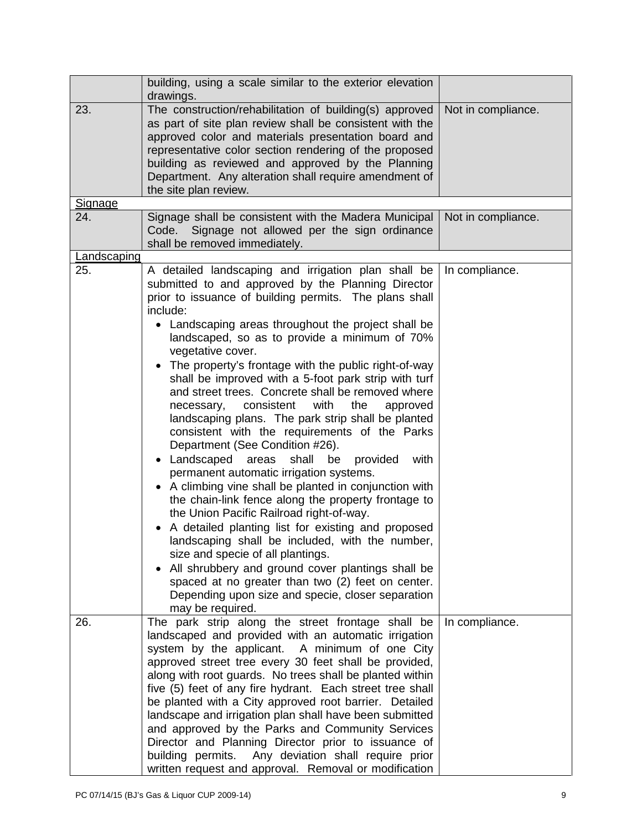|                | building, using a scale similar to the exterior elevation<br>drawings.                                                                                                                                                                                                                                                                                                                                                                                                                                                                                                                                                                                                                                                                                                                                                                                                                                                                            |                    |
|----------------|---------------------------------------------------------------------------------------------------------------------------------------------------------------------------------------------------------------------------------------------------------------------------------------------------------------------------------------------------------------------------------------------------------------------------------------------------------------------------------------------------------------------------------------------------------------------------------------------------------------------------------------------------------------------------------------------------------------------------------------------------------------------------------------------------------------------------------------------------------------------------------------------------------------------------------------------------|--------------------|
| 23.            | The construction/rehabilitation of building(s) approved<br>as part of site plan review shall be consistent with the<br>approved color and materials presentation board and<br>representative color section rendering of the proposed<br>building as reviewed and approved by the Planning<br>Department. Any alteration shall require amendment of<br>the site plan review.                                                                                                                                                                                                                                                                                                                                                                                                                                                                                                                                                                       | Not in compliance. |
| <b>Signage</b> |                                                                                                                                                                                                                                                                                                                                                                                                                                                                                                                                                                                                                                                                                                                                                                                                                                                                                                                                                   |                    |
| 24.            | Signage shall be consistent with the Madera Municipal<br>Code. Signage not allowed per the sign ordinance<br>shall be removed immediately.                                                                                                                                                                                                                                                                                                                                                                                                                                                                                                                                                                                                                                                                                                                                                                                                        | Not in compliance. |
| Landscaping    |                                                                                                                                                                                                                                                                                                                                                                                                                                                                                                                                                                                                                                                                                                                                                                                                                                                                                                                                                   |                    |
| 25.            | A detailed landscaping and irrigation plan shall be<br>submitted to and approved by the Planning Director<br>prior to issuance of building permits. The plans shall<br>include:<br>• Landscaping areas throughout the project shall be<br>landscaped, so as to provide a minimum of 70%<br>vegetative cover.<br>The property's frontage with the public right-of-way<br>shall be improved with a 5-foot park strip with turf<br>and street trees. Concrete shall be removed where<br>consistent<br>with<br>necessary,<br>the<br>approved<br>landscaping plans. The park strip shall be planted<br>consistent with the requirements of the Parks<br>Department (See Condition #26).<br>Landscaped areas<br>shall<br>be<br>provided<br>with<br>permanent automatic irrigation systems.<br>• A climbing vine shall be planted in conjunction with<br>the chain-link fence along the property frontage to<br>the Union Pacific Railroad right-of-way. | In compliance.     |
|                | A detailed planting list for existing and proposed<br>landscaping shall be included, with the number,<br>size and specie of all plantings.<br>All shrubbery and ground cover plantings shall be<br>spaced at no greater than two (2) feet on center.<br>Depending upon size and specie, closer separation                                                                                                                                                                                                                                                                                                                                                                                                                                                                                                                                                                                                                                         |                    |
|                | may be required.                                                                                                                                                                                                                                                                                                                                                                                                                                                                                                                                                                                                                                                                                                                                                                                                                                                                                                                                  |                    |
| 26.            | The park strip along the street frontage shall be<br>landscaped and provided with an automatic irrigation<br>system by the applicant. A minimum of one City<br>approved street tree every 30 feet shall be provided,<br>along with root guards. No trees shall be planted within<br>five (5) feet of any fire hydrant. Each street tree shall<br>be planted with a City approved root barrier. Detailed<br>landscape and irrigation plan shall have been submitted<br>and approved by the Parks and Community Services<br>Director and Planning Director prior to issuance of<br>building permits. Any deviation shall require prior<br>written request and approval. Removal or modification                                                                                                                                                                                                                                                     | In compliance.     |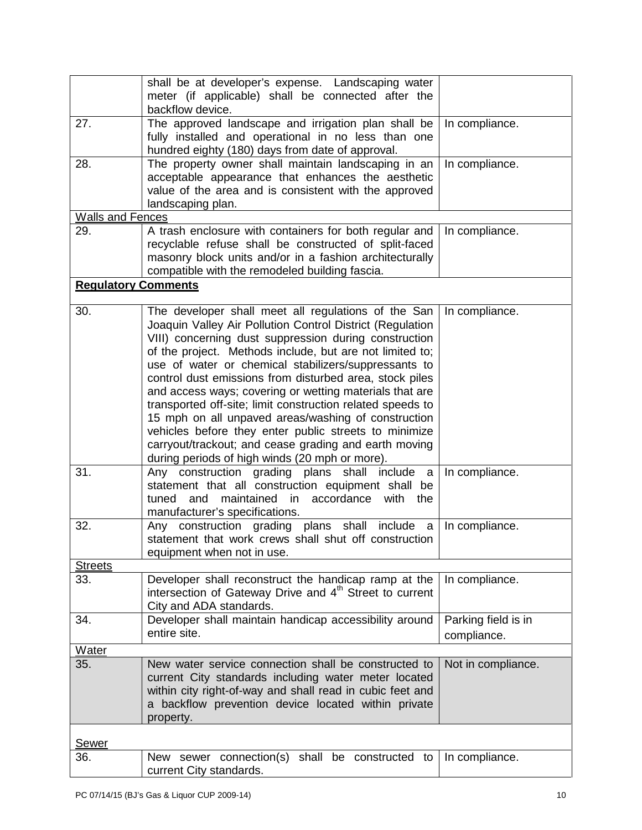|                            | shall be at developer's expense. Landscaping water<br>meter (if applicable) shall be connected after the<br>backflow device.                                                                                                                                                                                                                                                                                                                                                                                                                                                                      |                                    |
|----------------------------|---------------------------------------------------------------------------------------------------------------------------------------------------------------------------------------------------------------------------------------------------------------------------------------------------------------------------------------------------------------------------------------------------------------------------------------------------------------------------------------------------------------------------------------------------------------------------------------------------|------------------------------------|
| 27.                        | The approved landscape and irrigation plan shall be<br>fully installed and operational in no less than one<br>hundred eighty (180) days from date of approval.                                                                                                                                                                                                                                                                                                                                                                                                                                    | In compliance.                     |
| 28.                        | The property owner shall maintain landscaping in an<br>acceptable appearance that enhances the aesthetic<br>value of the area and is consistent with the approved<br>landscaping plan.                                                                                                                                                                                                                                                                                                                                                                                                            | In compliance.                     |
| <b>Walls and Fences</b>    |                                                                                                                                                                                                                                                                                                                                                                                                                                                                                                                                                                                                   |                                    |
| 29.                        | A trash enclosure with containers for both regular and<br>recyclable refuse shall be constructed of split-faced<br>masonry block units and/or in a fashion architecturally<br>compatible with the remodeled building fascia.                                                                                                                                                                                                                                                                                                                                                                      | In compliance.                     |
| <b>Regulatory Comments</b> |                                                                                                                                                                                                                                                                                                                                                                                                                                                                                                                                                                                                   |                                    |
| 30.                        | The developer shall meet all regulations of the San<br>Joaquin Valley Air Pollution Control District (Regulation<br>VIII) concerning dust suppression during construction<br>of the project. Methods include, but are not limited to;<br>use of water or chemical stabilizers/suppressants to<br>control dust emissions from disturbed area, stock piles<br>and access ways; covering or wetting materials that are<br>transported off-site; limit construction related speeds to<br>15 mph on all unpaved areas/washing of construction<br>vehicles before they enter public streets to minimize | In compliance.                     |
|                            | carryout/trackout; and cease grading and earth moving<br>during periods of high winds (20 mph or more).                                                                                                                                                                                                                                                                                                                                                                                                                                                                                           |                                    |
| 31.                        | Any construction grading plans shall<br>include<br>a a<br>statement that all construction equipment shall<br>be<br>maintained in accordance with<br>tuned<br>and<br>the<br>manufacturer's specifications.                                                                                                                                                                                                                                                                                                                                                                                         | In compliance.                     |
| 32.                        | Any construction grading plans shall include a<br>statement that work crews shall shut off construction<br>equipment when not in use.                                                                                                                                                                                                                                                                                                                                                                                                                                                             | In compliance.                     |
| <b>Streets</b>             |                                                                                                                                                                                                                                                                                                                                                                                                                                                                                                                                                                                                   |                                    |
| 33.                        | Developer shall reconstruct the handicap ramp at the<br>intersection of Gateway Drive and 4 <sup>th</sup> Street to current<br>City and ADA standards.                                                                                                                                                                                                                                                                                                                                                                                                                                            | In compliance.                     |
| 34.                        | Developer shall maintain handicap accessibility around<br>entire site.                                                                                                                                                                                                                                                                                                                                                                                                                                                                                                                            | Parking field is in<br>compliance. |
| Water                      |                                                                                                                                                                                                                                                                                                                                                                                                                                                                                                                                                                                                   |                                    |
| 35.                        | New water service connection shall be constructed to<br>current City standards including water meter located<br>within city right-of-way and shall read in cubic feet and<br>a backflow prevention device located within private<br>property.                                                                                                                                                                                                                                                                                                                                                     | Not in compliance.                 |
| <u>Sewer</u>               |                                                                                                                                                                                                                                                                                                                                                                                                                                                                                                                                                                                                   |                                    |
| 36.                        | New sewer connection(s) shall be constructed to<br>current City standards.                                                                                                                                                                                                                                                                                                                                                                                                                                                                                                                        | In compliance.                     |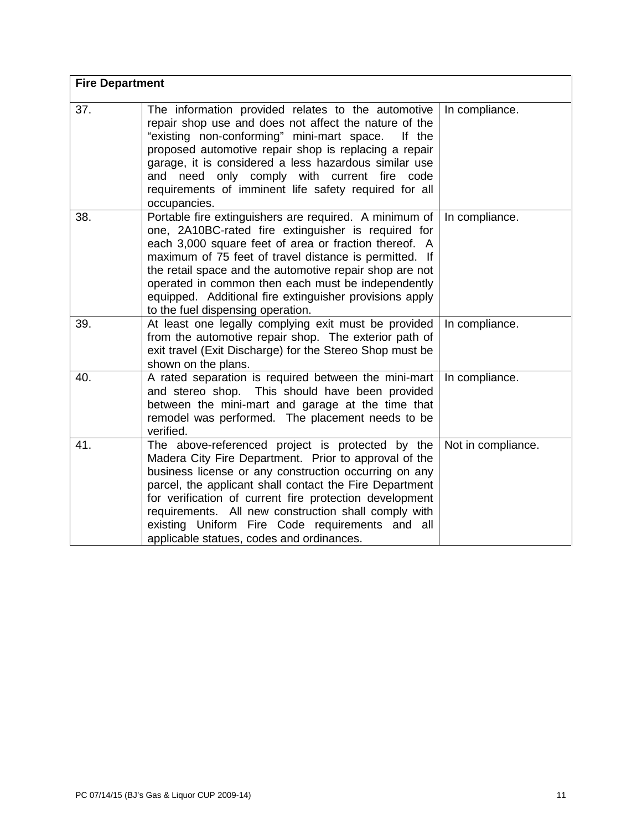| <b>Fire Department</b> |                                                                                                                                                                                                                                                                                                                                                                                                                                                   |                    |  |
|------------------------|---------------------------------------------------------------------------------------------------------------------------------------------------------------------------------------------------------------------------------------------------------------------------------------------------------------------------------------------------------------------------------------------------------------------------------------------------|--------------------|--|
| 37.                    | The information provided relates to the automotive<br>repair shop use and does not affect the nature of the<br>"existing non-conforming" mini-mart space.<br>If the<br>proposed automotive repair shop is replacing a repair<br>garage, it is considered a less hazardous similar use<br>need only comply with current fire<br>code<br>and<br>requirements of imminent life safety required for all<br>occupancies.                               | In compliance.     |  |
| 38.                    | Portable fire extinguishers are required. A minimum of<br>one, 2A10BC-rated fire extinguisher is required for<br>each 3,000 square feet of area or fraction thereof. A<br>maximum of 75 feet of travel distance is permitted. If<br>the retail space and the automotive repair shop are not<br>operated in common then each must be independently<br>equipped. Additional fire extinguisher provisions apply<br>to the fuel dispensing operation. | In compliance.     |  |
| 39.                    | At least one legally complying exit must be provided<br>from the automotive repair shop. The exterior path of<br>exit travel (Exit Discharge) for the Stereo Shop must be<br>shown on the plans.                                                                                                                                                                                                                                                  | In compliance.     |  |
| 40.                    | A rated separation is required between the mini-mart<br>and stereo shop. This should have been provided<br>between the mini-mart and garage at the time that<br>remodel was performed. The placement needs to be<br>verified.                                                                                                                                                                                                                     | In compliance.     |  |
| 41.                    | The above-referenced project is protected by the<br>Madera City Fire Department. Prior to approval of the<br>business license or any construction occurring on any<br>parcel, the applicant shall contact the Fire Department<br>for verification of current fire protection development<br>requirements. All new construction shall comply with<br>existing Uniform Fire Code requirements and all<br>applicable statues, codes and ordinances.  | Not in compliance. |  |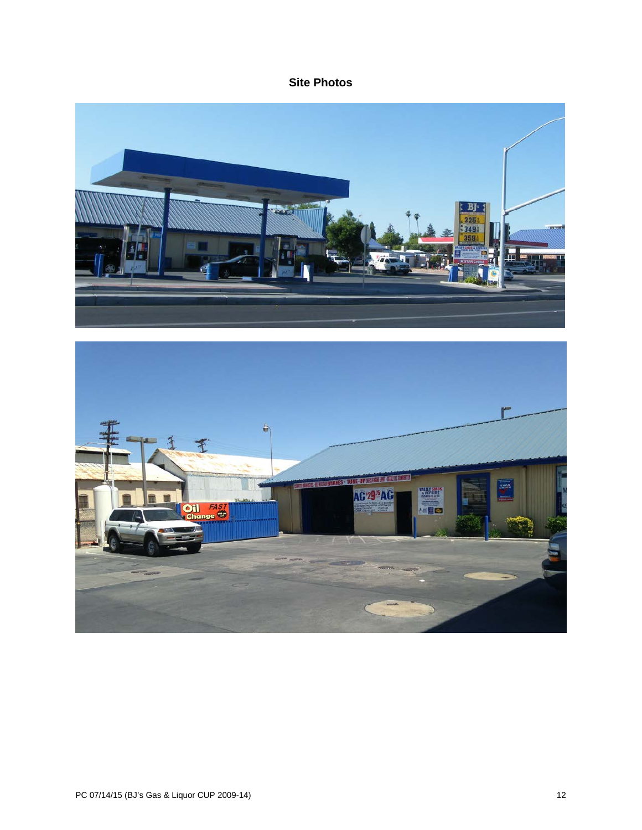### **Site Photos**



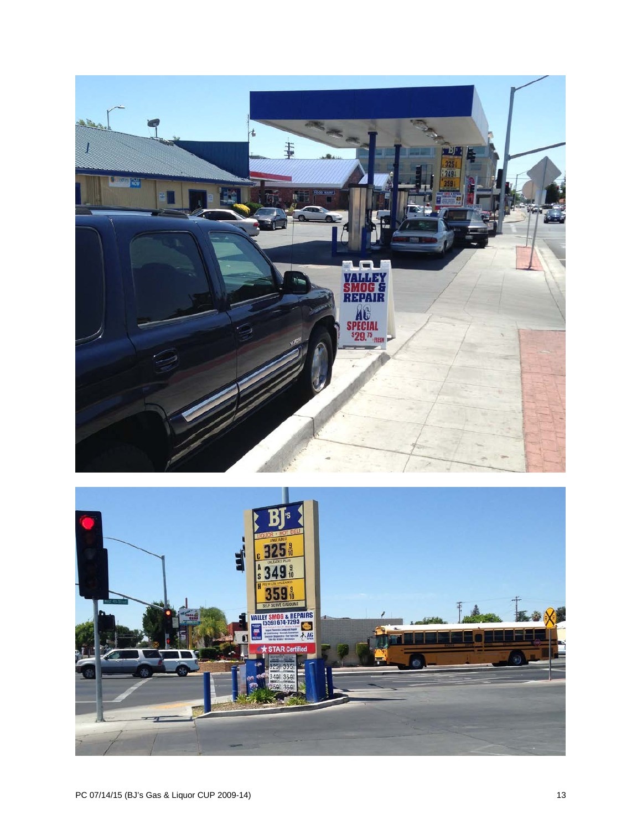

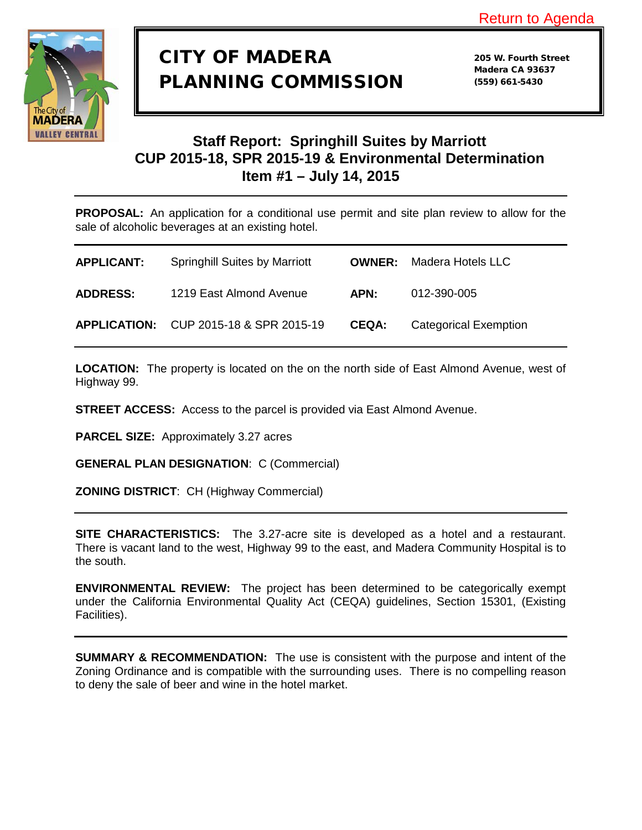<span id="page-15-0"></span>

# CITY OF MADERA PLANNING COMMISSION

205 W. Fourth Street Madera CA 93637 (559) 661-5430

## **Staff Report: Springhill Suites by Marriott CUP 2015-18, SPR 2015-19 & Environmental Determination Item #1 – July 14, 2015**

**PROPOSAL:** An application for a conditional use permit and site plan review to allow for the sale of alcoholic beverages at an existing hotel.

| <b>APPLICANT:</b> | <b>Springhill Suites by Marriott</b>              |              | <b>OWNER:</b> Madera Hotels LLC |
|-------------------|---------------------------------------------------|--------------|---------------------------------|
| <b>ADDRESS:</b>   | 1219 East Almond Avenue                           | APN:         | 012-390-005                     |
|                   | <b>APPLICATION: CUP 2015-18 &amp; SPR 2015-19</b> | <b>CEQA:</b> | <b>Categorical Exemption</b>    |

**LOCATION:** The property is located on the on the north side of East Almond Avenue, west of Highway 99.

**STREET ACCESS:** Access to the parcel is provided via East Almond Avenue.

**PARCEL SIZE:** Approximately 3.27 acres

**GENERAL PLAN DESIGNATION**: C (Commercial)

**ZONING DISTRICT**: CH (Highway Commercial)

**SITE CHARACTERISTICS:** The 3.27-acre site is developed as a hotel and a restaurant. There is vacant land to the west, Highway 99 to the east, and Madera Community Hospital is to the south.

**ENVIRONMENTAL REVIEW:** The project has been determined to be categorically exempt under the California Environmental Quality Act (CEQA) guidelines, Section 15301, (Existing Facilities).

**SUMMARY & RECOMMENDATION:** The use is consistent with the purpose and intent of the Zoning Ordinance and is compatible with the surrounding uses. There is no compelling reason to deny the sale of beer and wine in the hotel market.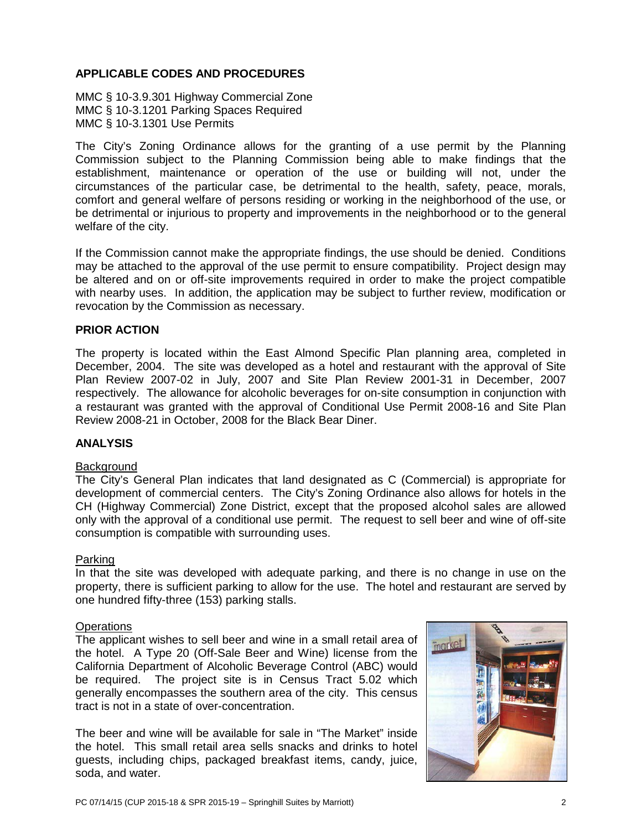#### **APPLICABLE CODES AND PROCEDURES**

MMC § 10-3.9.301 Highway Commercial Zone MMC § 10-3.1201 Parking Spaces Required MMC § 10-3.1301 Use Permits

The City's Zoning Ordinance allows for the granting of a use permit by the Planning Commission subject to the Planning Commission being able to make findings that the establishment, maintenance or operation of the use or building will not, under the circumstances of the particular case, be detrimental to the health, safety, peace, morals, comfort and general welfare of persons residing or working in the neighborhood of the use, or be detrimental or injurious to property and improvements in the neighborhood or to the general welfare of the city.

If the Commission cannot make the appropriate findings, the use should be denied. Conditions may be attached to the approval of the use permit to ensure compatibility. Project design may be altered and on or off-site improvements required in order to make the project compatible with nearby uses. In addition, the application may be subject to further review, modification or revocation by the Commission as necessary.

#### **PRIOR ACTION**

The property is located within the East Almond Specific Plan planning area, completed in December, 2004. The site was developed as a hotel and restaurant with the approval of Site Plan Review 2007-02 in July, 2007 and Site Plan Review 2001-31 in December, 2007 respectively. The allowance for alcoholic beverages for on-site consumption in conjunction with a restaurant was granted with the approval of Conditional Use Permit 2008-16 and Site Plan Review 2008-21 in October, 2008 for the Black Bear Diner.

#### **ANALYSIS**

#### Background

The City's General Plan indicates that land designated as C (Commercial) is appropriate for development of commercial centers. The City's Zoning Ordinance also allows for hotels in the CH (Highway Commercial) Zone District, except that the proposed alcohol sales are allowed only with the approval of a conditional use permit. The request to sell beer and wine of off-site consumption is compatible with surrounding uses.

#### Parking

In that the site was developed with adequate parking, and there is no change in use on the property, there is sufficient parking to allow for the use. The hotel and restaurant are served by one hundred fifty-three (153) parking stalls.

#### **Operations**

The applicant wishes to sell beer and wine in a small retail area of the hotel. A Type 20 (Off-Sale Beer and Wine) license from the California Department of Alcoholic Beverage Control (ABC) would be required. The project site is in Census Tract 5.02 which generally encompasses the southern area of the city. This census tract is not in a state of over-concentration.

The beer and wine will be available for sale in "The Market" inside the hotel. This small retail area sells snacks and drinks to hotel guests, including chips, packaged breakfast items, candy, juice, soda, and water.

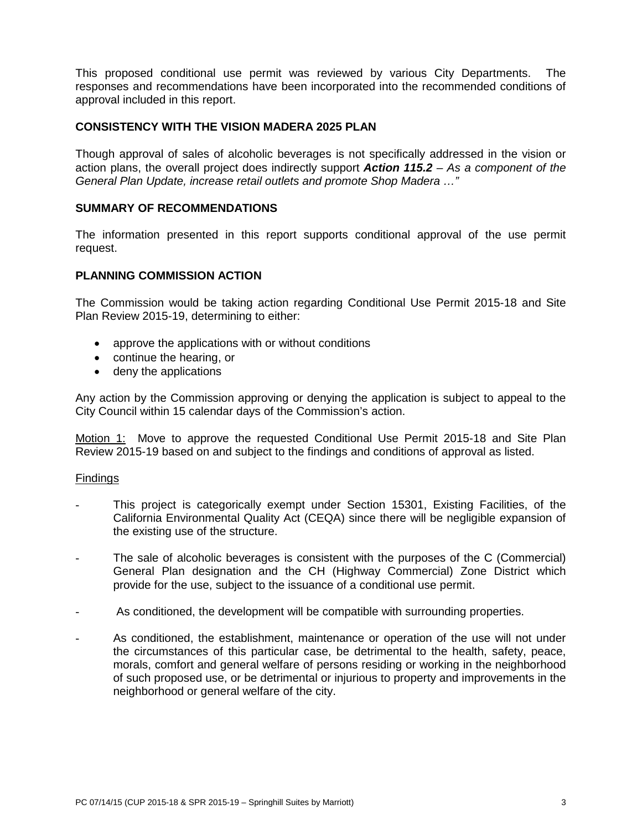This proposed conditional use permit was reviewed by various City Departments. The responses and recommendations have been incorporated into the recommended conditions of approval included in this report.

#### **CONSISTENCY WITH THE VISION MADERA 2025 PLAN**

Though approval of sales of alcoholic beverages is not specifically addressed in the vision or action plans, the overall project does indirectly support *Action 115.2 – As a component of the General Plan Update, increase retail outlets and promote Shop Madera …"*

#### **SUMMARY OF RECOMMENDATIONS**

The information presented in this report supports conditional approval of the use permit request.

#### **PLANNING COMMISSION ACTION**

The Commission would be taking action regarding Conditional Use Permit 2015-18 and Site Plan Review 2015-19, determining to either:

- approve the applications with or without conditions
- continue the hearing, or
- deny the applications

Any action by the Commission approving or denying the application is subject to appeal to the City Council within 15 calendar days of the Commission's action.

Motion 1: Move to approve the requested Conditional Use Permit 2015-18 and Site Plan Review 2015-19 based on and subject to the findings and conditions of approval as listed.

#### Findings

- This project is categorically exempt under Section 15301, Existing Facilities, of the California Environmental Quality Act (CEQA) since there will be negligible expansion of the existing use of the structure.
- The sale of alcoholic beverages is consistent with the purposes of the C (Commercial) General Plan designation and the CH (Highway Commercial) Zone District which provide for the use, subject to the issuance of a conditional use permit.
- As conditioned, the development will be compatible with surrounding properties.
- As conditioned, the establishment, maintenance or operation of the use will not under the circumstances of this particular case, be detrimental to the health, safety, peace, morals, comfort and general welfare of persons residing or working in the neighborhood of such proposed use, or be detrimental or injurious to property and improvements in the neighborhood or general welfare of the city.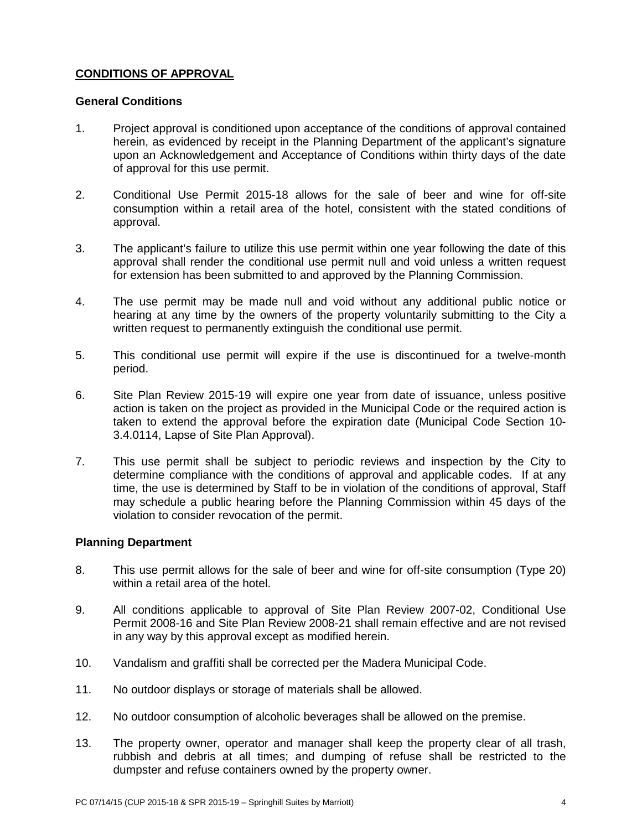### **CONDITIONS OF APPROVAL**

#### **General Conditions**

- 1. Project approval is conditioned upon acceptance of the conditions of approval contained herein, as evidenced by receipt in the Planning Department of the applicant's signature upon an Acknowledgement and Acceptance of Conditions within thirty days of the date of approval for this use permit.
- 2. Conditional Use Permit 2015-18 allows for the sale of beer and wine for off-site consumption within a retail area of the hotel, consistent with the stated conditions of approval.
- 3. The applicant's failure to utilize this use permit within one year following the date of this approval shall render the conditional use permit null and void unless a written request for extension has been submitted to and approved by the Planning Commission.
- 4. The use permit may be made null and void without any additional public notice or hearing at any time by the owners of the property voluntarily submitting to the City a written request to permanently extinguish the conditional use permit.
- 5. This conditional use permit will expire if the use is discontinued for a twelve-month period.
- 6. Site Plan Review 2015-19 will expire one year from date of issuance, unless positive action is taken on the project as provided in the Municipal Code or the required action is taken to extend the approval before the expiration date (Municipal Code Section 10- 3.4.0114, Lapse of Site Plan Approval).
- 7. This use permit shall be subject to periodic reviews and inspection by the City to determine compliance with the conditions of approval and applicable codes. If at any time, the use is determined by Staff to be in violation of the conditions of approval, Staff may schedule a public hearing before the Planning Commission within 45 days of the violation to consider revocation of the permit.

#### **Planning Department**

- 8. This use permit allows for the sale of beer and wine for off-site consumption (Type 20) within a retail area of the hotel.
- 9. All conditions applicable to approval of Site Plan Review 2007-02, Conditional Use Permit 2008-16 and Site Plan Review 2008-21 shall remain effective and are not revised in any way by this approval except as modified herein.
- 10. Vandalism and graffiti shall be corrected per the Madera Municipal Code.
- 11. No outdoor displays or storage of materials shall be allowed.
- 12. No outdoor consumption of alcoholic beverages shall be allowed on the premise.
- 13. The property owner, operator and manager shall keep the property clear of all trash, rubbish and debris at all times; and dumping of refuse shall be restricted to the dumpster and refuse containers owned by the property owner.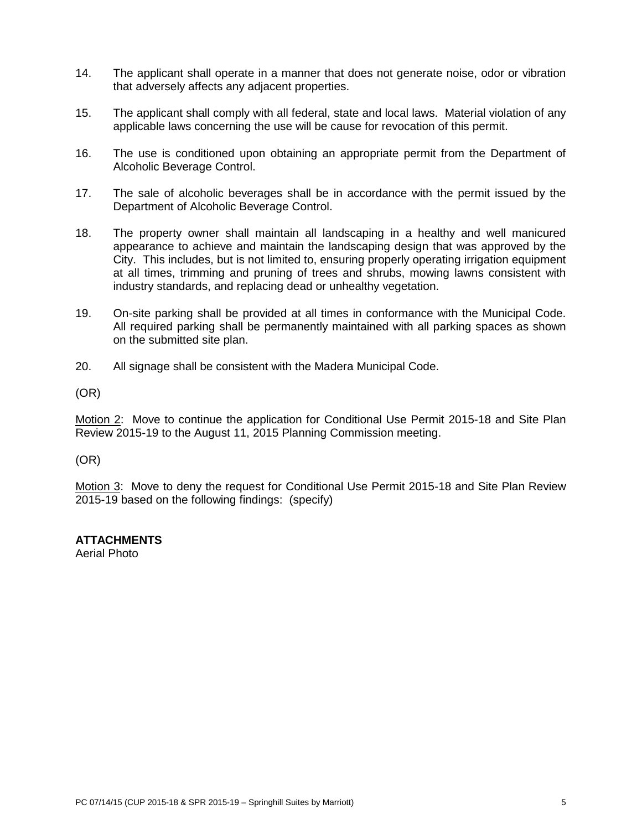- 14. The applicant shall operate in a manner that does not generate noise, odor or vibration that adversely affects any adjacent properties.
- 15. The applicant shall comply with all federal, state and local laws. Material violation of any applicable laws concerning the use will be cause for revocation of this permit.
- 16. The use is conditioned upon obtaining an appropriate permit from the Department of Alcoholic Beverage Control.
- 17. The sale of alcoholic beverages shall be in accordance with the permit issued by the Department of Alcoholic Beverage Control.
- 18. The property owner shall maintain all landscaping in a healthy and well manicured appearance to achieve and maintain the landscaping design that was approved by the City. This includes, but is not limited to, ensuring properly operating irrigation equipment at all times, trimming and pruning of trees and shrubs, mowing lawns consistent with industry standards, and replacing dead or unhealthy vegetation.
- 19. On-site parking shall be provided at all times in conformance with the Municipal Code. All required parking shall be permanently maintained with all parking spaces as shown on the submitted site plan.
- 20. All signage shall be consistent with the Madera Municipal Code.

(OR)

Motion 2: Move to continue the application for Conditional Use Permit 2015-18 and Site Plan Review 2015-19 to the August 11, 2015 Planning Commission meeting.

(OR)

Motion 3: Move to deny the request for Conditional Use Permit 2015-18 and Site Plan Review 2015-19 based on the following findings: (specify)

**ATTACHMENTS** Aerial Photo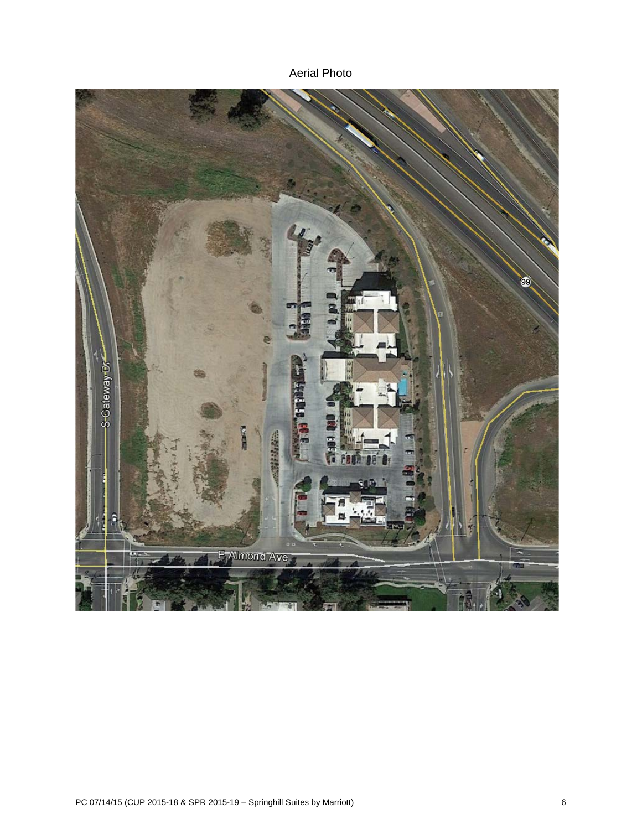### Aerial Photo

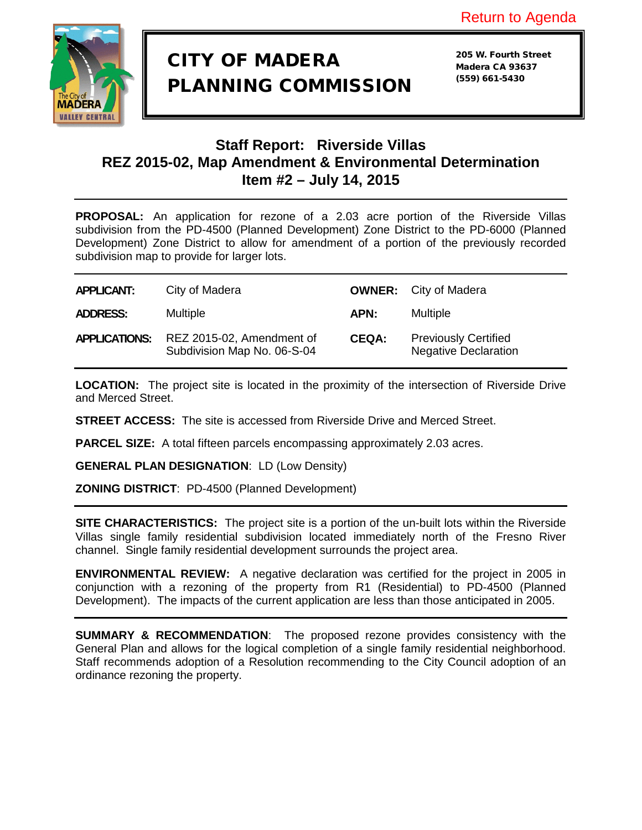<span id="page-21-0"></span>

# CITY OF MADERA PLANNING COMMISSION

205 W. Fourth Street Madera CA 93637 (559) 661-5430

## **Staff Report: Riverside Villas REZ 2015-02, Map Amendment & Environmental Determination Item #2 – July 14, 2015**

**PROPOSAL:** An application for rezone of a 2.03 acre portion of the Riverside Villas subdivision from the PD-4500 (Planned Development) Zone District to the PD-6000 (Planned Development) Zone District to allow for amendment of a portion of the previously recorded subdivision map to provide for larger lots.

| <b>APPLICANT:</b>    | City of Madera                                           |              | <b>OWNER:</b> City of Madera                               |
|----------------------|----------------------------------------------------------|--------------|------------------------------------------------------------|
| <b>ADDRESS:</b>      | <b>Multiple</b>                                          | APN:         | Multiple                                                   |
| <b>APPLICATIONS:</b> | REZ 2015-02, Amendment of<br>Subdivision Map No. 06-S-04 | <b>CEQA:</b> | <b>Previously Certified</b><br><b>Negative Declaration</b> |

**LOCATION:** The project site is located in the proximity of the intersection of Riverside Drive and Merced Street.

**STREET ACCESS:** The site is accessed from Riverside Drive and Merced Street.

**PARCEL SIZE:** A total fifteen parcels encompassing approximately 2.03 acres.

**GENERAL PLAN DESIGNATION**: LD (Low Density)

**ZONING DISTRICT**: PD-4500 (Planned Development)

**SITE CHARACTERISTICS:** The project site is a portion of the un-built lots within the Riverside Villas single family residential subdivision located immediately north of the Fresno River channel. Single family residential development surrounds the project area.

**ENVIRONMENTAL REVIEW:** A negative declaration was certified for the project in 2005 in conjunction with a rezoning of the property from R1 (Residential) to PD-4500 (Planned Development). The impacts of the current application are less than those anticipated in 2005.

**SUMMARY & RECOMMENDATION**: The proposed rezone provides consistency with the General Plan and allows for the logical completion of a single family residential neighborhood. Staff recommends adoption of a Resolution recommending to the City Council adoption of an ordinance rezoning the property.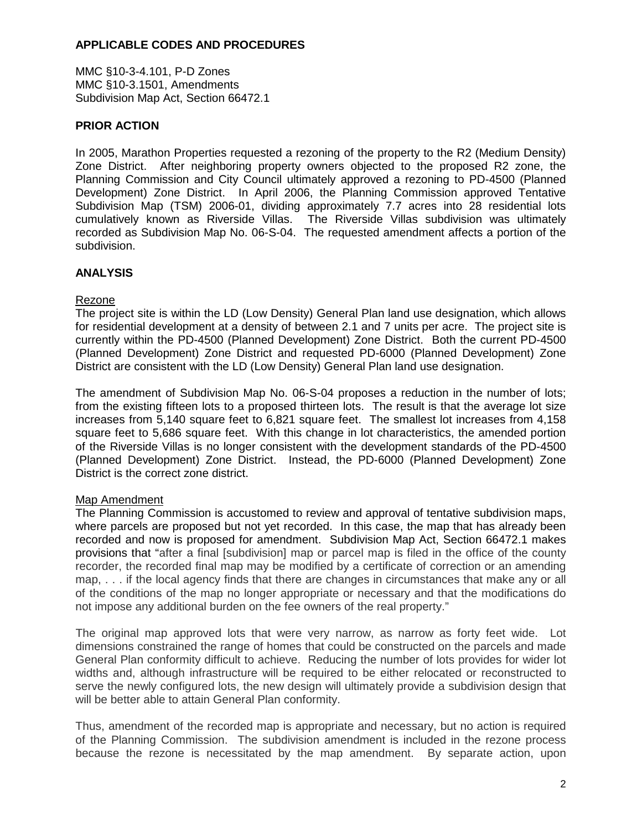#### **APPLICABLE CODES AND PROCEDURES**

MMC §10-3-4.101, P-D Zones MMC §10-3.1501, Amendments Subdivision Map Act, Section 66472.1

#### **PRIOR ACTION**

In 2005, Marathon Properties requested a rezoning of the property to the R2 (Medium Density) Zone District. After neighboring property owners objected to the proposed R2 zone, the Planning Commission and City Council ultimately approved a rezoning to PD-4500 (Planned Development) Zone District. In April 2006, the Planning Commission approved Tentative Subdivision Map (TSM) 2006-01, dividing approximately 7.7 acres into 28 residential lots cumulatively known as Riverside Villas. The Riverside Villas subdivision was ultimately recorded as Subdivision Map No. 06-S-04. The requested amendment affects a portion of the subdivision.

#### **ANALYSIS**

#### Rezone

The project site is within the LD (Low Density) General Plan land use designation, which allows for residential development at a density of between 2.1 and 7 units per acre. The project site is currently within the PD-4500 (Planned Development) Zone District. Both the current PD-4500 (Planned Development) Zone District and requested PD-6000 (Planned Development) Zone District are consistent with the LD (Low Density) General Plan land use designation.

The amendment of Subdivision Map No. 06-S-04 proposes a reduction in the number of lots; from the existing fifteen lots to a proposed thirteen lots. The result is that the average lot size increases from 5,140 square feet to 6,821 square feet. The smallest lot increases from 4,158 square feet to 5,686 square feet. With this change in lot characteristics, the amended portion of the Riverside Villas is no longer consistent with the development standards of the PD-4500 (Planned Development) Zone District. Instead, the PD-6000 (Planned Development) Zone District is the correct zone district.

#### Map Amendment

The Planning Commission is accustomed to review and approval of tentative subdivision maps, where parcels are proposed but not yet recorded. In this case, the map that has already been recorded and now is proposed for amendment. Subdivision Map Act, Section 66472.1 makes provisions that "after a final [subdivision] map or parcel map is filed in the office of the county recorder, the recorded final map may be modified by a certificate of correction or an amending map, . . . if the local agency finds that there are changes in circumstances that make any or all of the conditions of the map no longer appropriate or necessary and that the modifications do not impose any additional burden on the fee owners of the real property."

The original map approved lots that were very narrow, as narrow as forty feet wide. Lot dimensions constrained the range of homes that could be constructed on the parcels and made General Plan conformity difficult to achieve. Reducing the number of lots provides for wider lot widths and, although infrastructure will be required to be either relocated or reconstructed to serve the newly configured lots, the new design will ultimately provide a subdivision design that will be better able to attain General Plan conformity.

Thus, amendment of the recorded map is appropriate and necessary, but no action is required of the Planning Commission. The subdivision amendment is included in the rezone process because the rezone is necessitated by the map amendment. By separate action, upon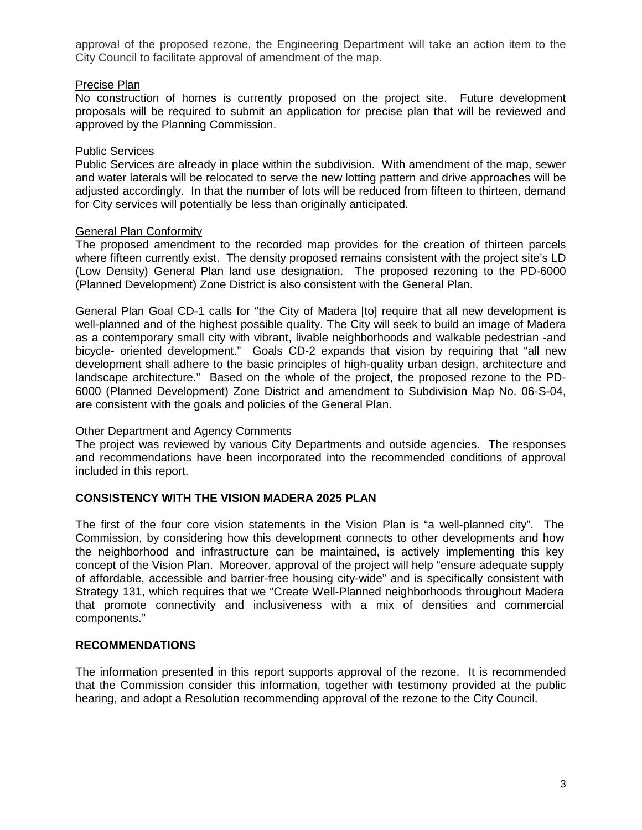approval of the proposed rezone, the Engineering Department will take an action item to the City Council to facilitate approval of amendment of the map.

#### Precise Plan

No construction of homes is currently proposed on the project site. Future development proposals will be required to submit an application for precise plan that will be reviewed and approved by the Planning Commission.

#### Public Services

Public Services are already in place within the subdivision. With amendment of the map, sewer and water laterals will be relocated to serve the new lotting pattern and drive approaches will be adjusted accordingly. In that the number of lots will be reduced from fifteen to thirteen, demand for City services will potentially be less than originally anticipated.

#### General Plan Conformity

The proposed amendment to the recorded map provides for the creation of thirteen parcels where fifteen currently exist. The density proposed remains consistent with the project site's LD (Low Density) General Plan land use designation. The proposed rezoning to the PD-6000 (Planned Development) Zone District is also consistent with the General Plan.

General Plan Goal CD-1 calls for "the City of Madera [to] require that all new development is well-planned and of the highest possible quality. The City will seek to build an image of Madera as a contemporary small city with vibrant, livable neighborhoods and walkable pedestrian -and bicycle- oriented development." Goals CD-2 expands that vision by requiring that "all new development shall adhere to the basic principles of high-quality urban design, architecture and landscape architecture." Based on the whole of the project, the proposed rezone to the PD-6000 (Planned Development) Zone District and amendment to Subdivision Map No. 06-S-04, are consistent with the goals and policies of the General Plan.

#### Other Department and Agency Comments

The project was reviewed by various City Departments and outside agencies. The responses and recommendations have been incorporated into the recommended conditions of approval included in this report.

#### **CONSISTENCY WITH THE VISION MADERA 2025 PLAN**

The first of the four core vision statements in the Vision Plan is "a well-planned city". The Commission, by considering how this development connects to other developments and how the neighborhood and infrastructure can be maintained, is actively implementing this key concept of the Vision Plan. Moreover, approval of the project will help "ensure adequate supply of affordable, accessible and barrier-free housing city-wide" and is specifically consistent with Strategy 131, which requires that we "Create Well-Planned neighborhoods throughout Madera that promote connectivity and inclusiveness with a mix of densities and commercial components."

#### **RECOMMENDATIONS**

The information presented in this report supports approval of the rezone. It is recommended that the Commission consider this information, together with testimony provided at the public hearing, and adopt a Resolution recommending approval of the rezone to the City Council.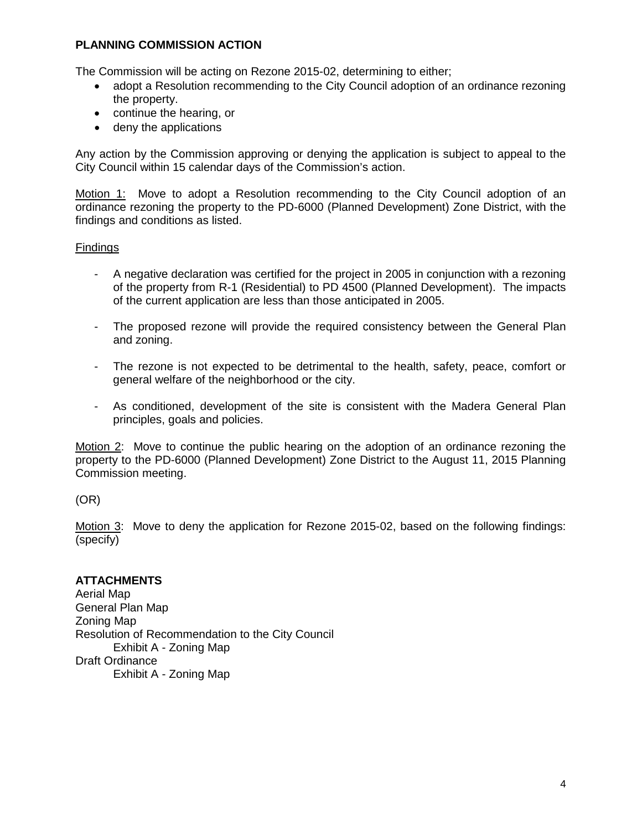#### **PLANNING COMMISSION ACTION**

The Commission will be acting on Rezone 2015-02, determining to either;

- adopt a Resolution recommending to the City Council adoption of an ordinance rezoning the property.
- continue the hearing, or
- deny the applications

Any action by the Commission approving or denying the application is subject to appeal to the City Council within 15 calendar days of the Commission's action.

Motion 1: Move to adopt a Resolution recommending to the City Council adoption of an ordinance rezoning the property to the PD-6000 (Planned Development) Zone District, with the findings and conditions as listed.

#### **Findings**

- A negative declaration was certified for the project in 2005 in conjunction with a rezoning of the property from R-1 (Residential) to PD 4500 (Planned Development). The impacts of the current application are less than those anticipated in 2005.
- The proposed rezone will provide the required consistency between the General Plan and zoning.
- The rezone is not expected to be detrimental to the health, safety, peace, comfort or general welfare of the neighborhood or the city.
- As conditioned, development of the site is consistent with the Madera General Plan principles, goals and policies.

Motion 2: Move to continue the public hearing on the adoption of an ordinance rezoning the property to the PD-6000 (Planned Development) Zone District to the August 11, 2015 Planning Commission meeting.

(OR)

Motion 3: Move to deny the application for Rezone 2015-02, based on the following findings: (specify)

#### **ATTACHMENTS**

Aerial Map General Plan Map Zoning Map Resolution of Recommendation to the City Council Exhibit A - Zoning Map Draft Ordinance Exhibit A - Zoning Map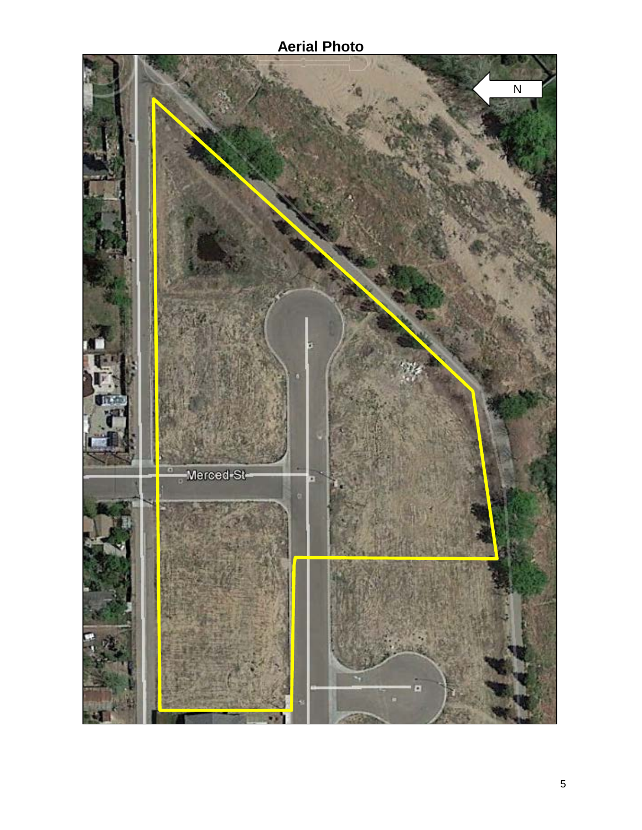## **Aerial Photo**

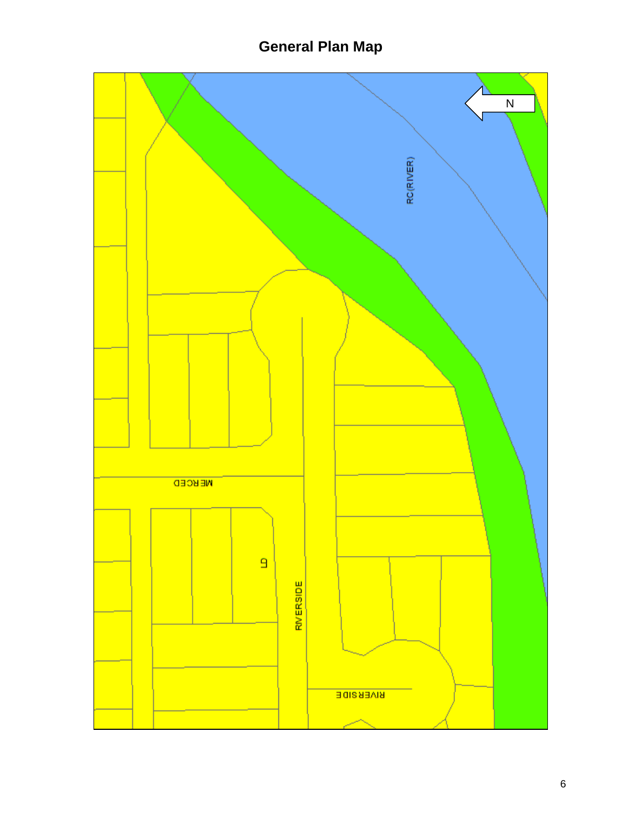## **General Plan Map**

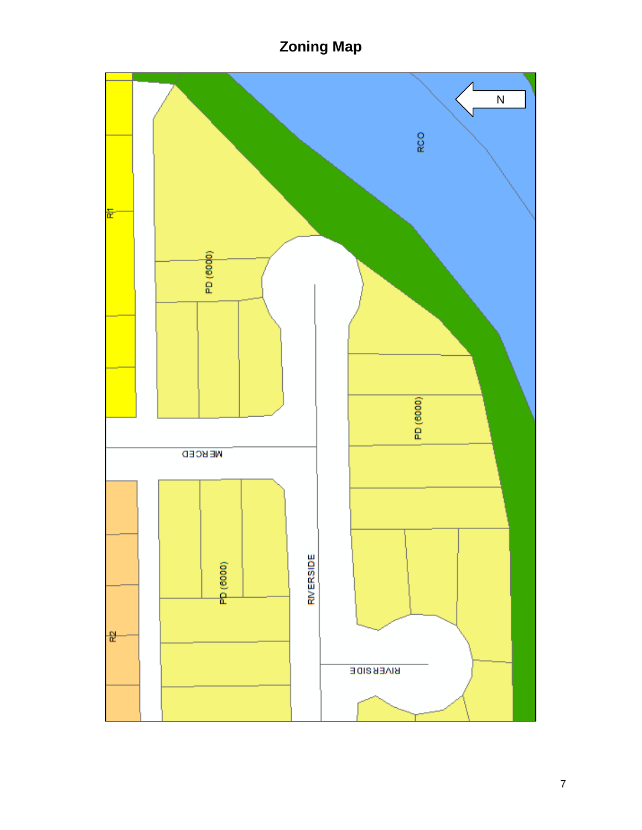# **Zoning Map**

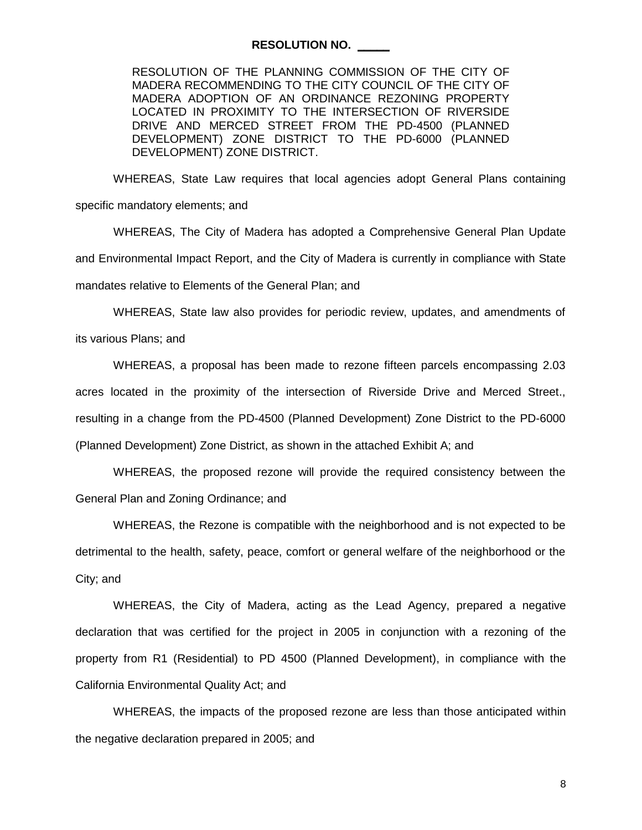#### **RESOLUTION NO. \_\_\_\_\_**

RESOLUTION OF THE PLANNING COMMISSION OF THE CITY OF MADERA RECOMMENDING TO THE CITY COUNCIL OF THE CITY OF MADERA ADOPTION OF AN ORDINANCE REZONING PROPERTY LOCATED IN PROXIMITY TO THE INTERSECTION OF RIVERSIDE DRIVE AND MERCED STREET FROM THE PD-4500 (PLANNED DEVELOPMENT) ZONE DISTRICT TO THE PD-6000 (PLANNED DEVELOPMENT) ZONE DISTRICT.

WHEREAS, State Law requires that local agencies adopt General Plans containing specific mandatory elements; and

WHEREAS, The City of Madera has adopted a Comprehensive General Plan Update and Environmental Impact Report, and the City of Madera is currently in compliance with State mandates relative to Elements of the General Plan; and

WHEREAS, State law also provides for periodic review, updates, and amendments of its various Plans; and

WHEREAS, a proposal has been made to rezone fifteen parcels encompassing 2.03 acres located in the proximity of the intersection of Riverside Drive and Merced Street., resulting in a change from the PD-4500 (Planned Development) Zone District to the PD-6000 (Planned Development) Zone District, as shown in the attached Exhibit A; and

WHEREAS, the proposed rezone will provide the required consistency between the General Plan and Zoning Ordinance; and

WHEREAS, the Rezone is compatible with the neighborhood and is not expected to be detrimental to the health, safety, peace, comfort or general welfare of the neighborhood or the City; and

WHEREAS, the City of Madera, acting as the Lead Agency, prepared a negative declaration that was certified for the project in 2005 in conjunction with a rezoning of the property from R1 (Residential) to PD 4500 (Planned Development), in compliance with the California Environmental Quality Act; and

WHEREAS, the impacts of the proposed rezone are less than those anticipated within the negative declaration prepared in 2005; and

8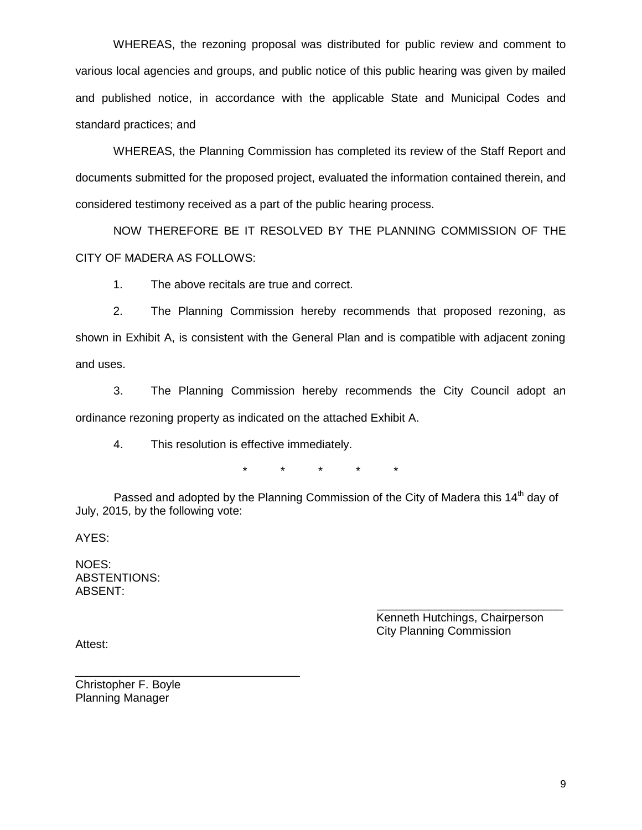WHEREAS, the rezoning proposal was distributed for public review and comment to various local agencies and groups, and public notice of this public hearing was given by mailed and published notice, in accordance with the applicable State and Municipal Codes and standard practices; and

WHEREAS, the Planning Commission has completed its review of the Staff Report and documents submitted for the proposed project, evaluated the information contained therein, and considered testimony received as a part of the public hearing process.

NOW THEREFORE BE IT RESOLVED BY THE PLANNING COMMISSION OF THE CITY OF MADERA AS FOLLOWS:

1. The above recitals are true and correct.

2. The Planning Commission hereby recommends that proposed rezoning, as shown in Exhibit A, is consistent with the General Plan and is compatible with adjacent zoning and uses.

3. The Planning Commission hereby recommends the City Council adopt an ordinance rezoning property as indicated on the attached Exhibit A.

4. This resolution is effective immediately.

\* \* \* \* \*

Passed and adopted by the Planning Commission of the City of Madera this 14<sup>th</sup> day of July, 2015, by the following vote:

AYES:

NOES: ABSTENTIONS: ABSENT:

> \_\_\_\_\_\_\_\_\_\_\_\_\_\_\_\_\_\_\_\_\_\_\_\_\_\_\_\_\_ Kenneth Hutchings, Chairperson City Planning Commission

Attest:

Christopher F. Boyle Planning Manager

\_\_\_\_\_\_\_\_\_\_\_\_\_\_\_\_\_\_\_\_\_\_\_\_\_\_\_\_\_\_\_\_\_\_\_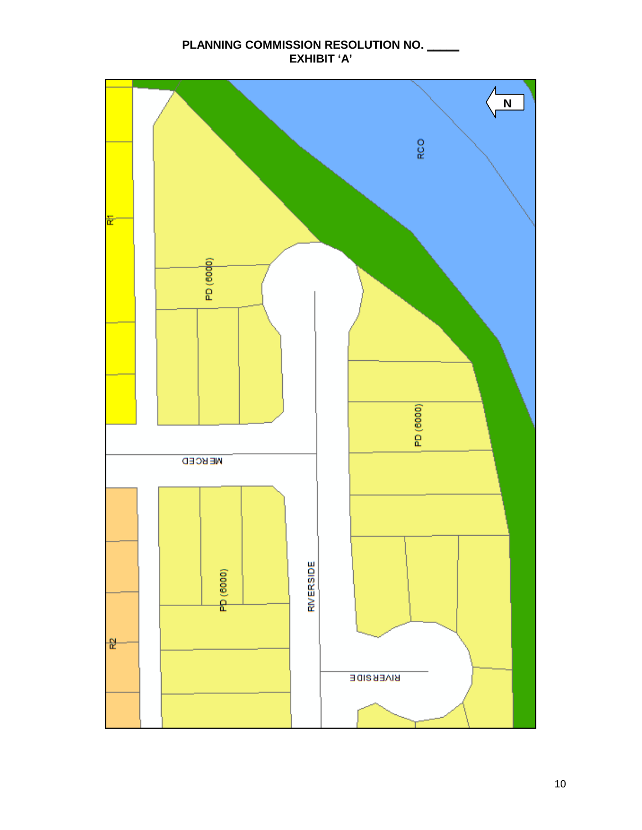#### **PLANNING COMMISSION RESOLUTION NO. \_\_\_\_\_ EXHIBIT 'A'**

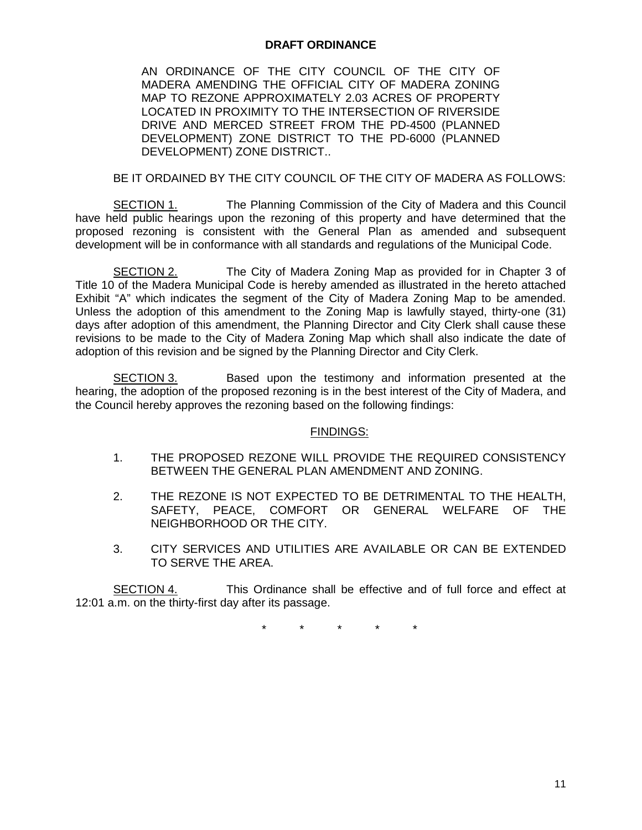#### **DRAFT ORDINANCE**

AN ORDINANCE OF THE CITY COUNCIL OF THE CITY OF MADERA AMENDING THE OFFICIAL CITY OF MADERA ZONING MAP TO REZONE APPROXIMATELY 2.03 ACRES OF PROPERTY LOCATED IN PROXIMITY TO THE INTERSECTION OF RIVERSIDE DRIVE AND MERCED STREET FROM THE PD-4500 (PLANNED DEVELOPMENT) ZONE DISTRICT TO THE PD-6000 (PLANNED DEVELOPMENT) ZONE DISTRICT..

#### BE IT ORDAINED BY THE CITY COUNCIL OF THE CITY OF MADERA AS FOLLOWS:

SECTION 1. The Planning Commission of the City of Madera and this Council have held public hearings upon the rezoning of this property and have determined that the proposed rezoning is consistent with the General Plan as amended and subsequent development will be in conformance with all standards and regulations of the Municipal Code.

SECTION 2. The City of Madera Zoning Map as provided for in Chapter 3 of Title 10 of the Madera Municipal Code is hereby amended as illustrated in the hereto attached Exhibit "A" which indicates the segment of the City of Madera Zoning Map to be amended. Unless the adoption of this amendment to the Zoning Map is lawfully stayed, thirty-one (31) days after adoption of this amendment, the Planning Director and City Clerk shall cause these revisions to be made to the City of Madera Zoning Map which shall also indicate the date of adoption of this revision and be signed by the Planning Director and City Clerk.

SECTION 3. Based upon the testimony and information presented at the hearing, the adoption of the proposed rezoning is in the best interest of the City of Madera, and the Council hereby approves the rezoning based on the following findings:

#### FINDINGS:

- 1. THE PROPOSED REZONE WILL PROVIDE THE REQUIRED CONSISTENCY BETWEEN THE GENERAL PLAN AMENDMENT AND ZONING.
- 2. THE REZONE IS NOT EXPECTED TO BE DETRIMENTAL TO THE HEALTH, SAFETY, PEACE, COMFORT OR GENERAL WELFARE OF THE NEIGHBORHOOD OR THE CITY.
- 3. CITY SERVICES AND UTILITIES ARE AVAILABLE OR CAN BE EXTENDED TO SERVE THE AREA.

SECTION 4. This Ordinance shall be effective and of full force and effect at 12:01 a.m. on the thirty-first day after its passage.

\* \* \* \* \*